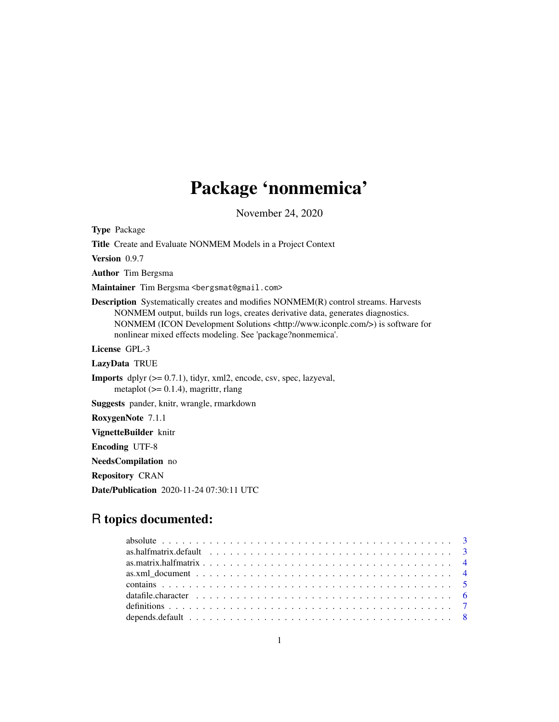# Package 'nonmemica'

November 24, 2020

<span id="page-0-0"></span>Type Package

Title Create and Evaluate NONMEM Models in a Project Context

Version 0.9.7

Author Tim Bergsma

Maintainer Tim Bergsma <br/>bergsmat@gmail.com>

Description Systematically creates and modifies NONMEM(R) control streams. Harvests NONMEM output, builds run logs, creates derivative data, generates diagnostics. NONMEM (ICON Development Solutions <http://www.iconplc.com/>) is software for nonlinear mixed effects modeling. See 'package?nonmemica'.

License GPL-3

LazyData TRUE

**Imports** dplyr  $(>= 0.7.1)$ , tidyr, xml2, encode, csv, spec, lazyeval, metaplot  $(>= 0.1.4)$ , magrittr, rlang

Suggests pander, knitr, wrangle, rmarkdown

RoxygenNote 7.1.1

VignetteBuilder knitr

Encoding UTF-8

NeedsCompilation no

Repository CRAN

Date/Publication 2020-11-24 07:30:11 UTC

# R topics documented: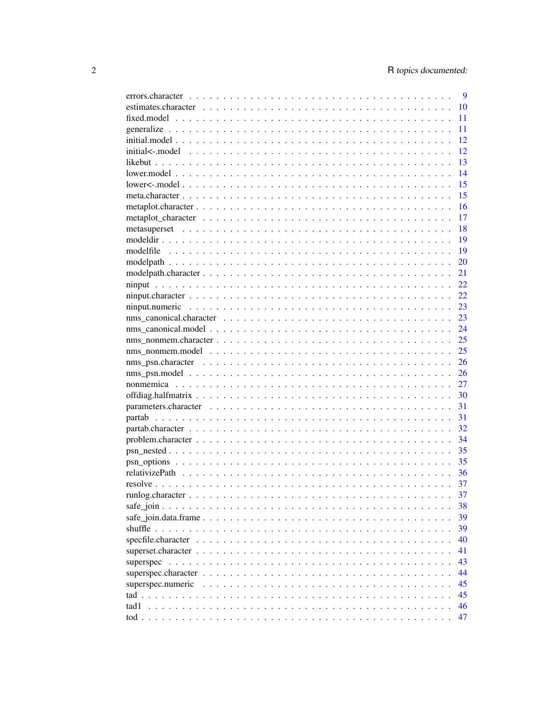|                   | 9  |
|-------------------|----|
|                   | 10 |
|                   | 11 |
|                   | 11 |
|                   | 12 |
|                   | 12 |
|                   | 13 |
|                   | 14 |
|                   | 15 |
|                   | 15 |
|                   | 16 |
|                   | 17 |
|                   | 18 |
|                   | 19 |
|                   | 19 |
|                   | 20 |
|                   | 21 |
|                   | 22 |
|                   | 22 |
|                   | 23 |
|                   | 23 |
|                   | 24 |
|                   | 25 |
|                   | 25 |
|                   | 26 |
|                   | 26 |
|                   | 27 |
|                   | 30 |
|                   | 31 |
|                   | 31 |
|                   | 32 |
|                   | 34 |
|                   | 35 |
|                   | 35 |
|                   | 36 |
|                   | 37 |
|                   | 37 |
|                   |    |
|                   | 38 |
|                   | 39 |
|                   | 39 |
|                   | 40 |
|                   | 41 |
| superspec         | 43 |
|                   | 44 |
| superspec.numeric | 45 |
|                   | 45 |
| tad 1             | 46 |
|                   | 47 |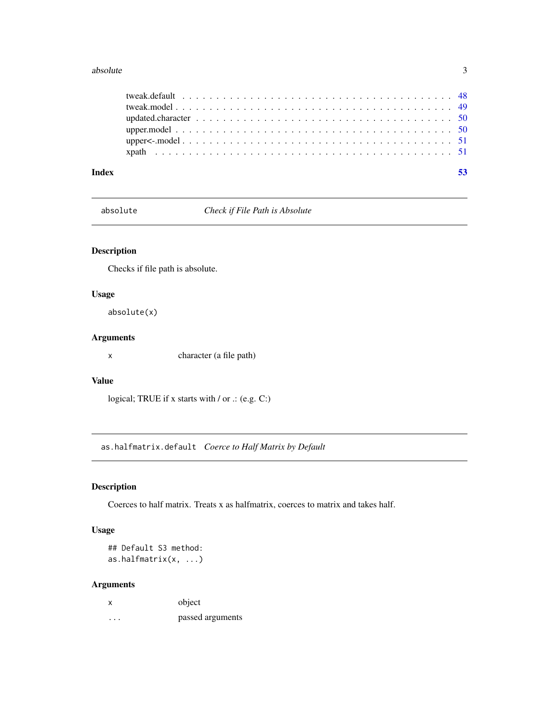#### <span id="page-2-0"></span>absolute 3

| Index |  |
|-------|--|
|       |  |
|       |  |
|       |  |
|       |  |
|       |  |
|       |  |

absolute *Check if File Path is Absolute*

# Description

Checks if file path is absolute.

# Usage

absolute(x)

# Arguments

x character (a file path)

# Value

logical; TRUE if x starts with / or .: (e.g. C:)

<span id="page-2-1"></span>as.halfmatrix.default *Coerce to Half Matrix by Default*

# Description

Coerces to half matrix. Treats x as halfmatrix, coerces to matrix and takes half.

# Usage

## Default S3 method: as.halfmatrix(x, ...)

# Arguments

| x | object           |
|---|------------------|
| . | passed arguments |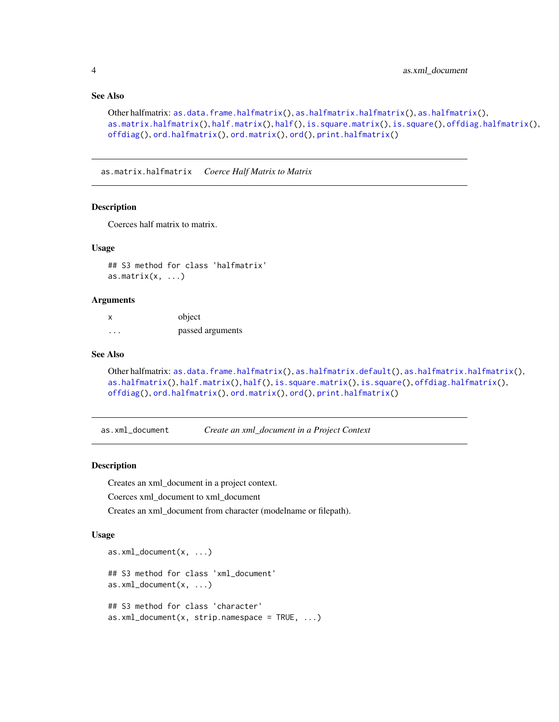# See Also

```
as.data.frame.halfmatrix(as.halfmatrix.halfmatrix(as.halfmatrix(),
as.matrix.halfmatrix(half.matrix(half(is.square.matrix(is.square(offdiag.halfmatrix(),
offdiag(), ord.halfmatrix(), ord.matrix(), ord(), print.halfmatrix()
```
<span id="page-3-1"></span>as.matrix.halfmatrix *Coerce Half Matrix to Matrix*

#### Description

Coerces half matrix to matrix.

#### Usage

## S3 method for class 'halfmatrix' as.matrix $(x, \ldots)$ 

#### Arguments

| x        | object           |
|----------|------------------|
| $\cdots$ | passed arguments |

#### See Also

```
as.data.frame.halfmatrix(as.halfmatrix.default(as.halfmatrix.halfmatrix(),
as.halfmatrix(), half.matrix(), half(), is.square.matrix(), is.square(), offdiag.halfmatrix(),
offdiag(), ord.halfmatrix(), ord.matrix(), ord(), print.halfmatrix()
```
<span id="page-3-3"></span>as.xml\_document *Create an xml\_document in a Project Context*

#### <span id="page-3-2"></span>Description

Creates an xml\_document in a project context.

Coerces xml\_document to xml\_document

Creates an xml\_document from character (modelname or filepath).

#### Usage

```
as.xml_document(x, ...)
## S3 method for class 'xml_document'
as.xml_document(x, ...)
## S3 method for class 'character'
as.xml_document(x, strip.name space = TRUE, ...)
```
<span id="page-3-0"></span>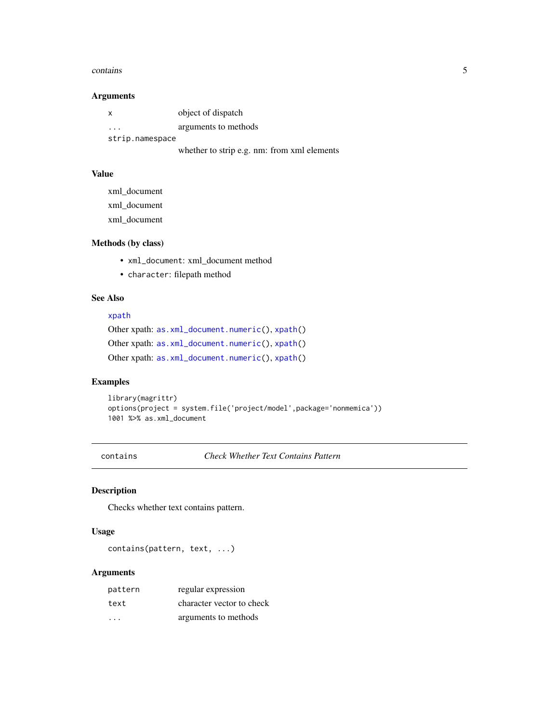#### <span id="page-4-0"></span>contains 5

# Arguments

| $\mathsf{x}$    | object of dispatch                                 |
|-----------------|----------------------------------------------------|
| $\cdot$         | arguments to methods                               |
| strip.namespace |                                                    |
|                 | and attenue to state of a control from more 1 alon |

# whether to strip e.g. nm: from xml elements

# Value

xml\_document xml\_document xml\_document

# Methods (by class)

- xml\_document: xml\_document method
- character: filepath method

# See Also

#### [xpath](#page-50-1)

Other xpath: [as.xml\\_document.numeric\(](#page-0-0)), [xpath\(](#page-50-1)) Other xpath: [as.xml\\_document.numeric\(](#page-0-0)), [xpath\(](#page-50-1)) Other xpath: [as.xml\\_document.numeric\(](#page-0-0)), [xpath\(](#page-50-1))

# Examples

```
library(magrittr)
options(project = system.file('project/model',package='nonmemica'))
1001 %>% as.xml_document
```
contains *Check Whether Text Contains Pattern*

# Description

Checks whether text contains pattern.

# Usage

contains(pattern, text, ...)

# Arguments

| pattern | regular expression        |
|---------|---------------------------|
| text    | character vector to check |
| .       | arguments to methods      |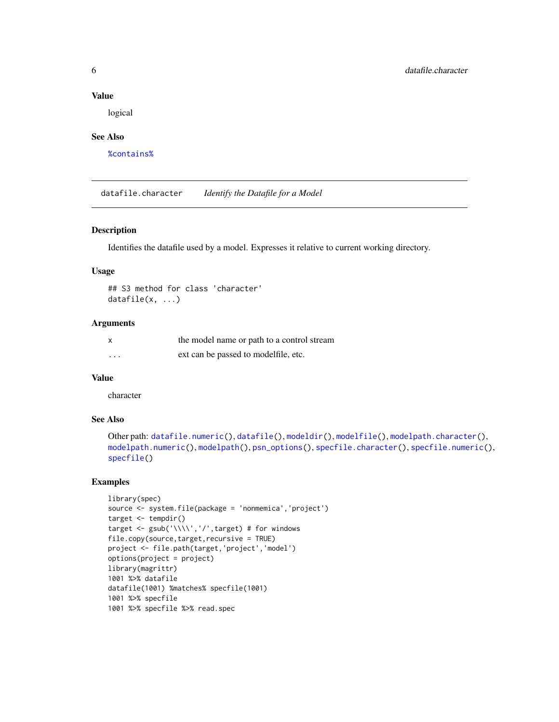#### Value

logical

#### See Also

[%contains%](#page-0-0)

<span id="page-5-1"></span>datafile.character *Identify the Datafile for a Model*

#### Description

Identifies the datafile used by a model. Expresses it relative to current working directory.

#### Usage

```
## S3 method for class 'character'
datafile(x, ...)
```
#### Arguments

| X        | the model name or path to a control stream |
|----------|--------------------------------------------|
| $\cdots$ | ext can be passed to modelfile, etc.       |

# Value

character

# See Also

```
Other path: datafile.numeric(), datafile(), modeldir(), modelfile(), modelpath.character(),
modelpath.numeric(), modelpath(), psn_options(), specfile.character(), specfile.numeric(),
specfile()
```
# Examples

```
library(spec)
source <- system.file(package = 'nonmemica','project')
target <- tempdir()
target <- gsub('\\\\','/',target) # for windows
file.copy(source,target,recursive = TRUE)
project <- file.path(target,'project','model')
options(project = project)
library(magrittr)
1001 %>% datafile
datafile(1001) %matches% specfile(1001)
1001 %>% specfile
1001 %>% specfile %>% read.spec
```
<span id="page-5-0"></span>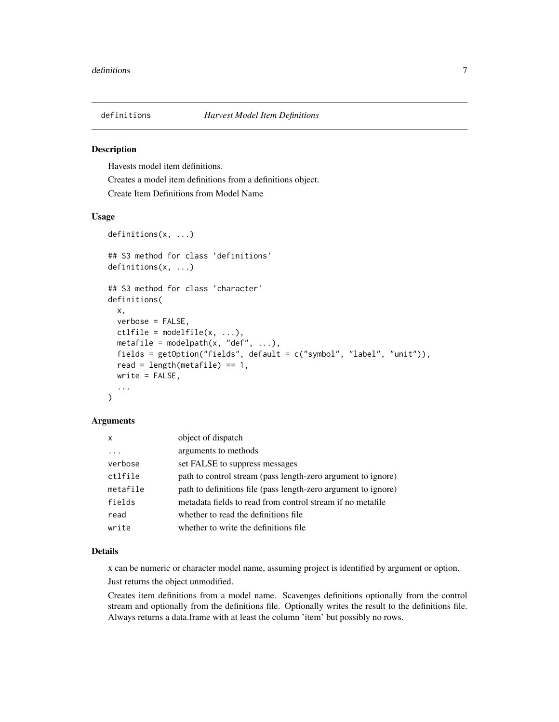<span id="page-6-0"></span>

# <span id="page-6-1"></span>Description

Havests model item definitions.

Creates a model item definitions from a definitions object. Create Item Definitions from Model Name

#### Usage

```
definitions(x, ...)
## S3 method for class 'definitions'
definitions(x, ...)
## S3 method for class 'character'
definitions(
  x,
  verbose = FALSE,
  ctlfile = modelfile(x, ...),metafile = modelpath(x, "def", ...),fields = getOption("fields", default = c("symbol", "label", "unit")),
  read = length(metafile) == 1,
  write = FALSE,
  ...
\mathcal{L}
```
# Arguments

| x        | object of dispatch                                             |
|----------|----------------------------------------------------------------|
| .        | arguments to methods                                           |
| verbose  | set FALSE to suppress messages                                 |
| ctlfile  | path to control stream (pass length-zero argument to ignore)   |
| metafile | path to definitions file (pass length-zero argument to ignore) |
| fields   | metadata fields to read from control stream if no metafile     |
| read     | whether to read the definitions file                           |
| write    | whether to write the definitions file                          |

#### Details

x can be numeric or character model name, assuming project is identified by argument or option.

Just returns the object unmodified.

Creates item definitions from a model name. Scavenges definitions optionally from the control stream and optionally from the definitions file. Optionally writes the result to the definitions file. Always returns a data.frame with at least the column 'item' but possibly no rows.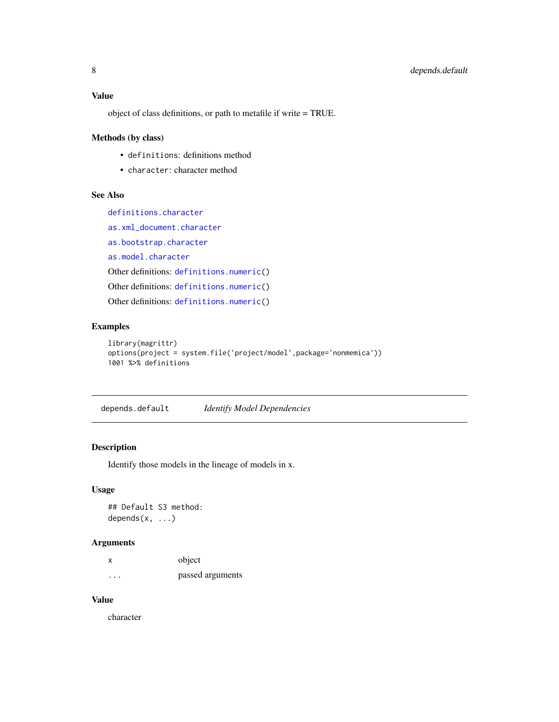# <span id="page-7-0"></span>Value

object of class definitions, or path to metafile if write = TRUE.

# Methods (by class)

- definitions: definitions method
- character: character method

# See Also

[definitions.character](#page-6-1)

[as.xml\\_document.character](#page-3-2)

[as.bootstrap.character](#page-0-0)

[as.model.character](#page-0-0)

Other definitions: [definitions.numeric\(](#page-0-0))

Other definitions: [definitions.numeric\(](#page-0-0))

Other definitions: [definitions.numeric\(](#page-0-0))

# Examples

```
library(magrittr)
options(project = system.file('project/model',package='nonmemica'))
1001 %>% definitions
```
depends.default *Identify Model Dependencies*

# Description

Identify those models in the lineage of models in x.

# Usage

## Default S3 method: depends $(x, \ldots)$ 

# Arguments

|   | object           |
|---|------------------|
| . | passed arguments |

# Value

character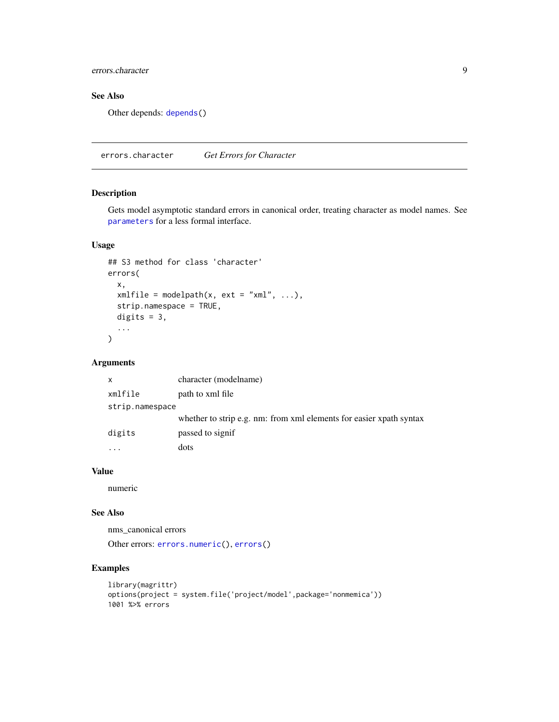<span id="page-8-0"></span>errors.character 9

# See Also

Other depends: [depends\(](#page-0-0))

errors.character *Get Errors for Character*

# Description

Gets model asymptotic standard errors in canonical order, treating character as model names. See [parameters](#page-0-0) for a less formal interface.

# Usage

```
## S3 method for class 'character'
errors(
 x,
 xmlfile = modelpath(x, ext = "xml", ...),strip.namespace = TRUE,
 digits = 3,
  ...
)
```
#### Arguments

| X               | character (modelname)                                               |
|-----------------|---------------------------------------------------------------------|
| xmlfile         | path to xml file                                                    |
| strip.namespace |                                                                     |
|                 | whether to strip e.g. nm: from xml elements for easier xpath syntax |
| digits          | passed to signif                                                    |
|                 | dots                                                                |

# Value

numeric

# See Also

nms\_canonical errors

Other errors: [errors.numeric\(](#page-0-0)), [errors\(](#page-0-0))

# Examples

```
library(magrittr)
options(project = system.file('project/model',package='nonmemica'))
1001 %>% errors
```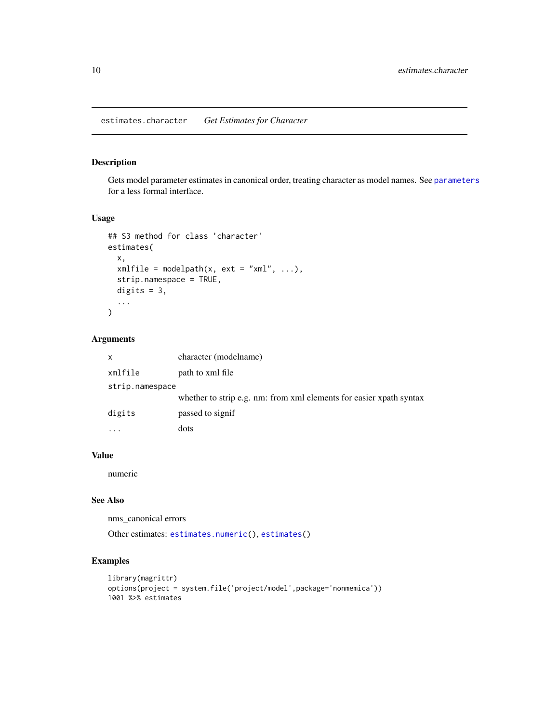# <span id="page-9-0"></span>Description

Gets model parameter estimates in canonical order, treating character as model names. See [parameters](#page-0-0) for a less formal interface.

# Usage

```
## S3 method for class 'character'
estimates(
 x,
  xmlfile = modelpath(x, ext = "xml", ...),
  strip.namespace = TRUE,
 digits = 3,
  ...
\mathcal{E}
```
# Arguments

| x               | character (modelname)                                               |
|-----------------|---------------------------------------------------------------------|
| xmlfile         | path to xml file                                                    |
| strip.namespace |                                                                     |
|                 | whether to strip e.g. nm: from xml elements for easier xpath syntax |
| digits          | passed to signif                                                    |
| .               | dots                                                                |

# Value

numeric

#### See Also

nms\_canonical errors

Other estimates: [estimates.numeric\(](#page-0-0)), [estimates\(](#page-0-0))

# Examples

```
library(magrittr)
options(project = system.file('project/model',package='nonmemica'))
1001 %>% estimates
```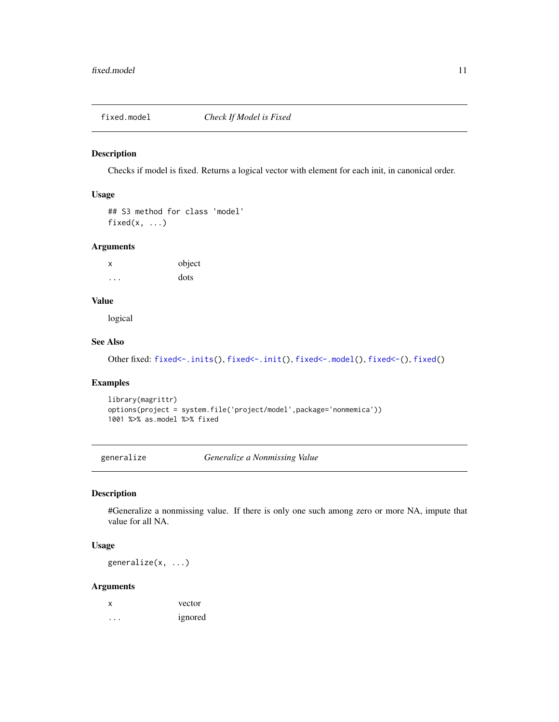<span id="page-10-0"></span>

#### Description

Checks if model is fixed. Returns a logical vector with element for each init, in canonical order.

# Usage

## S3 method for class 'model' fixed $(x, \ldots)$ 

#### Arguments

x object ... dots

# Value

logical

# See Also

Other fixed: [fixed<-.inits\(](#page-0-0)), [fixed<-.init\(](#page-0-0)), [fixed<-.model\(](#page-0-0)), [fixed<-\(](#page-0-0)), [fixed\(](#page-0-0))

# Examples

```
library(magrittr)
options(project = system.file('project/model',package='nonmemica'))
1001 %>% as.model %>% fixed
```
<span id="page-10-1"></span>generalize *Generalize a Nonmissing Value*

# Description

#Generalize a nonmissing value. If there is only one such among zero or more NA, impute that value for all NA.

# Usage

generalize(x, ...)

# Arguments

| x | vector  |
|---|---------|
| . | ignored |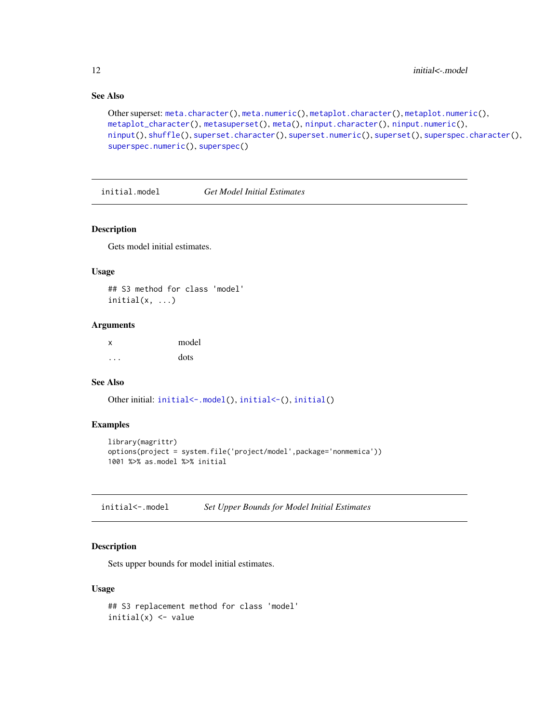# See Also

```
Other superset: meta.character(), meta.numeric(), metaplot.character(), metaplot.numeric(),
metaplot_character(), metasuperset(), meta(), ninput.character(), ninput.numeric(),
ninput(), shuffle(), superset.character(), superset.numeric(), superset(), superspec.character(),
superspec.numeric(), superspec()
```
<span id="page-11-2"></span>initial.model *Get Model Initial Estimates*

#### Description

Gets model initial estimates.

#### Usage

## S3 method for class 'model'  $initial(x, \ldots)$ 

# Arguments

x model ... dots

#### See Also

Other initial: [initial<-.model\(](#page-11-1)), [initial<-\(](#page-0-0)), [initial\(](#page-0-0))

#### Examples

```
library(magrittr)
options(project = system.file('project/model',package='nonmemica'))
1001 %>% as.model %>% initial
```
<span id="page-11-1"></span>initial<-.model *Set Upper Bounds for Model Initial Estimates*

# Description

Sets upper bounds for model initial estimates.

#### Usage

```
## S3 replacement method for class 'model'
initial(x) <- value
```
<span id="page-11-0"></span>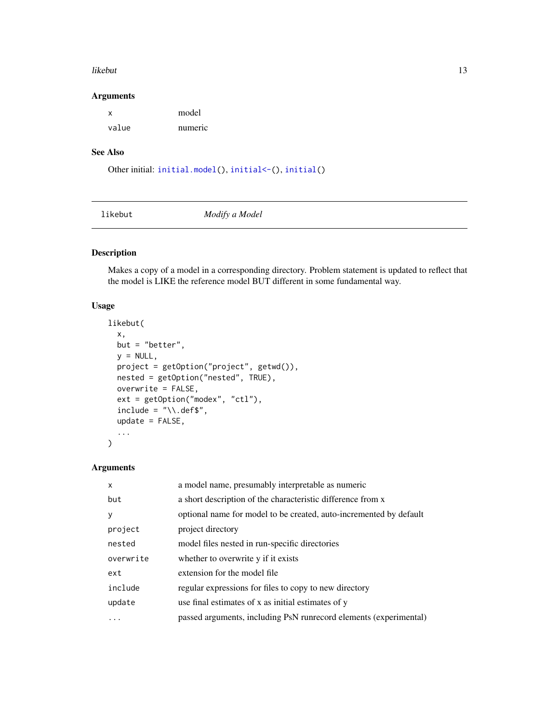#### <span id="page-12-0"></span>likebut 13

#### Arguments

| X     | model   |
|-------|---------|
| value | numeric |

# See Also

```
Other initial: initial.model(), initial<-(), initial()
```
<span id="page-12-1"></span>

likebut *Modify a Model*

# Description

Makes a copy of a model in a corresponding directory. Problem statement is updated to reflect that the model is LIKE the reference model BUT different in some fundamental way.

# Usage

```
likebut(
  x,
 but = "better",
 y = NULL,project = getOption("project", getwd()),
 nested = getOption("nested", TRUE),
 overwrite = FALSE,
  ext = getOption("modex", "ctl"),
  include = "\\ \lambda def;
  update = FALSE,
  ...
)
```
# Arguments

| X         | a model name, presumably interpretable as numeric                  |
|-----------|--------------------------------------------------------------------|
| but       | a short description of the characteristic difference from x        |
| V         | optional name for model to be created, auto-incremented by default |
| project   | project directory                                                  |
| nested    | model files nested in run-specific directories                     |
| overwrite | whether to overwrite y if it exists                                |
| ext       | extension for the model file                                       |
| include   | regular expressions for files to copy to new directory             |
| update    | use final estimates of x as initial estimates of y                 |
|           | passed arguments, including PsN runrecord elements (experimental)  |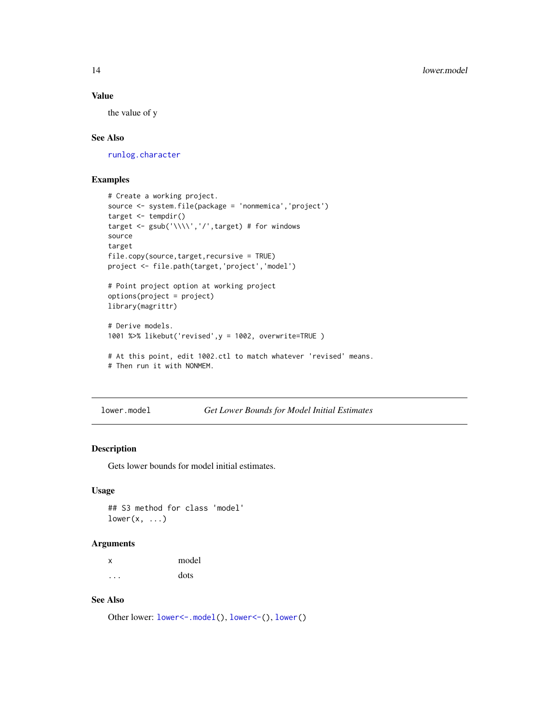#### <span id="page-13-0"></span>Value

the value of y

# See Also

[runlog.character](#page-36-1)

# Examples

```
# Create a working project.
source <- system.file(package = 'nonmemica','project')
target <- tempdir()
target <- gsub('\\\\','/',target) # for windows
source
target
file.copy(source,target,recursive = TRUE)
project <- file.path(target,'project','model')
# Point project option at working project
options(project = project)
library(magrittr)
# Derive models.
1001 %>% likebut('revised',y = 1002, overwrite=TRUE )
# At this point, edit 1002.ctl to match whatever 'revised' means.
# Then run it with NONMEM.
```
<span id="page-13-1"></span>lower.model *Get Lower Bounds for Model Initial Estimates*

# Description

Gets lower bounds for model initial estimates.

# Usage

## S3 method for class 'model'  $lower(x, ...)$ 

#### Arguments

| х | model |
|---|-------|
| . | dots  |

# See Also

Other lower: [lower<-.model\(](#page-14-2)), [lower<-\(](#page-0-0)), [lower\(](#page-0-0))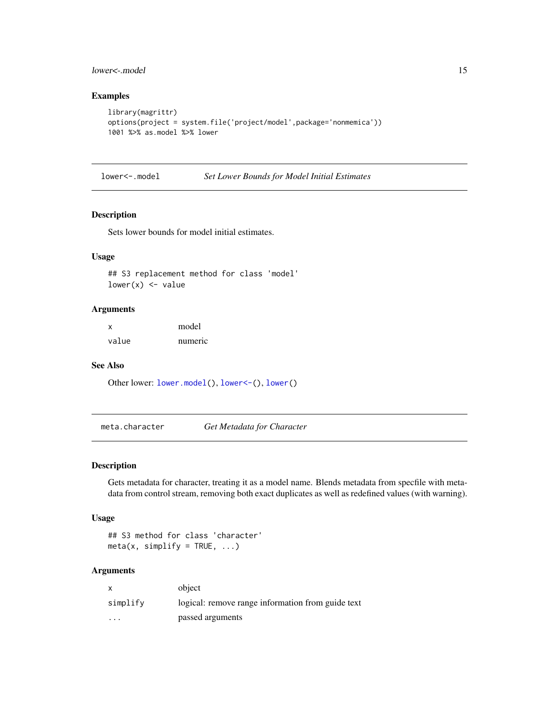# <span id="page-14-0"></span>lower<-.model 15

# Examples

```
library(magrittr)
options(project = system.file('project/model',package='nonmemica'))
1001 %>% as.model %>% lower
```
<span id="page-14-2"></span>lower<-.model *Set Lower Bounds for Model Initial Estimates*

#### Description

Sets lower bounds for model initial estimates.

# Usage

## S3 replacement method for class 'model'  $lower(x) < - value$ 

#### Arguments

| X     | model   |
|-------|---------|
| value | numeric |

#### See Also

Other lower: [lower.model\(](#page-13-1)), [lower<-\(](#page-0-0)), [lower\(](#page-0-0))

<span id="page-14-1"></span>meta.character *Get Metadata for Character*

# Description

Gets metadata for character, treating it as a model name. Blends metadata from specfile with metadata from control stream, removing both exact duplicates as well as redefined values (with warning).

# Usage

```
## S3 method for class 'character'
meta(x, simplify = TRUE, ...)
```
# Arguments

| $\mathsf{x}$ | object                                            |
|--------------|---------------------------------------------------|
| simplify     | logical: remove range information from guide text |
| $\cdots$     | passed arguments                                  |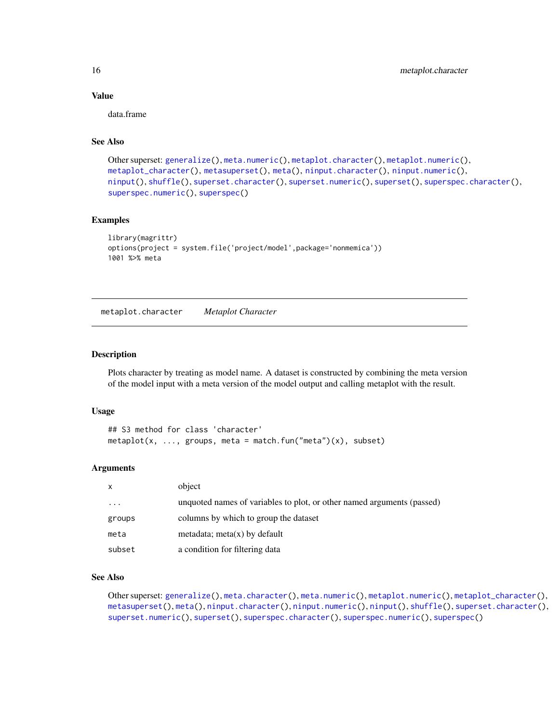# Value

data.frame

#### See Also

```
Other superset: generalize(), meta.numeric(), metaplot.character(), metaplot.numeric(),
metaplot_character(), metasuperset(), meta(), ninput.character(), ninput.numeric(),
ninput(), shuffle(), superset.character(), superset.numeric(), superset(), superspec.character(),
superspec.numeric(), superspec()
```
# Examples

```
library(magrittr)
options(project = system.file('project/model',package='nonmemica'))
1001 %>% meta
```
<span id="page-15-1"></span>metaplot.character *Metaplot Character*

#### Description

Plots character by treating as model name. A dataset is constructed by combining the meta version of the model input with a meta version of the model output and calling metaplot with the result.

#### Usage

```
## S3 method for class 'character'
metaplot(x, ..., groups, meta = match.fun("meta")(x), subset)
```
#### Arguments

| X        | object                                                                 |
|----------|------------------------------------------------------------------------|
| $\cdots$ | unquoted names of variables to plot, or other named arguments (passed) |
| groups   | columns by which to group the dataset                                  |
| meta     | metadata; meta $(x)$ by default                                        |
| subset   | a condition for filtering data                                         |

#### See Also

Other superset: [generalize\(](#page-10-1)), [meta.character\(](#page-14-1)), [meta.numeric\(](#page-0-0)), [metaplot.numeric\(](#page-0-0)), [metaplot\\_character\(](#page-16-1)), [metasuperset\(](#page-17-1)), [meta\(](#page-0-0)), [ninput.character\(](#page-21-1)), [ninput.numeric\(](#page-22-1)), [ninput\(](#page-21-2)), [shuffle\(](#page-38-1)), [superset.character\(](#page-40-1)), [superset.numeric\(](#page-0-0)), [superset\(](#page-0-0)), [superspec.character\(](#page-43-1)), [superspec.numeric\(](#page-44-1)), [superspec\(](#page-42-1))

<span id="page-15-0"></span>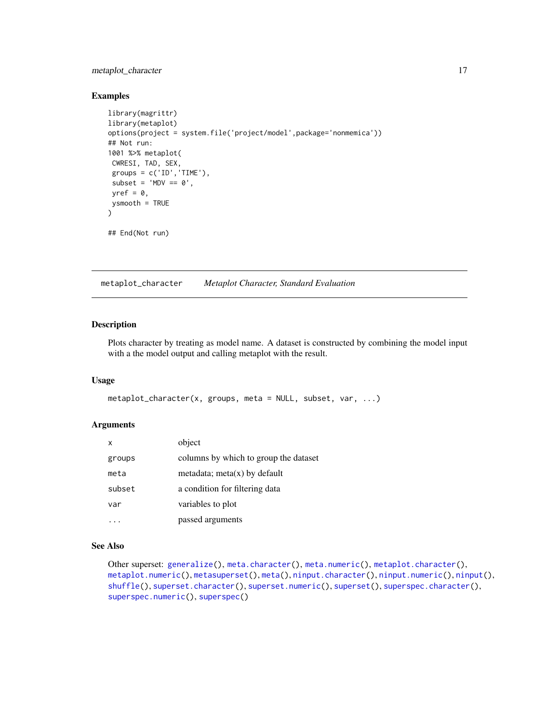# <span id="page-16-0"></span>metaplot\_character 17

#### Examples

```
library(magrittr)
library(metaplot)
options(project = system.file('project/model',package='nonmemica'))
## Not run:
1001 %>% metaplot(
CWRESI, TAD, SEX,
 groups = c('ID', 'TIME'),subset = 'MDV == 0',
 yref = 0,
ysmooth = TRUE
)
## End(Not run)
```
<span id="page-16-1"></span>metaplot\_character *Metaplot Character, Standard Evaluation*

#### Description

Plots character by treating as model name. A dataset is constructed by combining the model input with a the model output and calling metaplot with the result.

#### Usage

```
metaplot_character(x, groups, meta = NULL, subset, var, ...)
```
#### Arguments

| X      | object                                |
|--------|---------------------------------------|
| groups | columns by which to group the dataset |
| meta   | metadata; meta $(x)$ by default       |
| subset | a condition for filtering data        |
| var    | variables to plot                     |
|        | passed arguments                      |

# See Also

```
Other superset: generalize(), meta.character(), meta.numeric(), metaplot.character(),
metaplot.numeric(), metasuperset(), meta(), ninput.character(), ninput.numeric(), ninput(),
shuffle(), superset.character(), superset.numeric(), superset(), superspec.character(),
superspec.numeric(), superspec()
```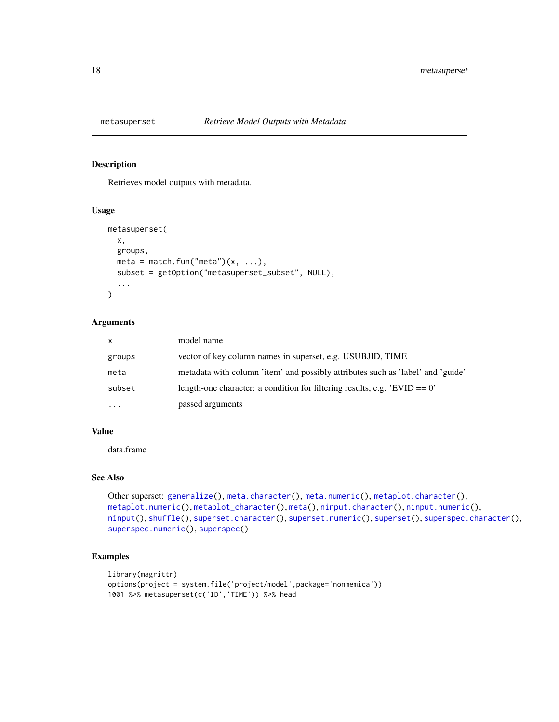<span id="page-17-1"></span><span id="page-17-0"></span>

# Description

Retrieves model outputs with metadata.

# Usage

```
metasuperset(
  x,
  groups,
 meta = match.fun("meta")(x, \ldots),subset = getOption("metasuperset_subset", NULL),
  ...
)
```
#### Arguments

| $\mathsf{x}$ | model name                                                                      |
|--------------|---------------------------------------------------------------------------------|
| groups       | vector of key column names in superset, e.g. USUBJID, TIME                      |
| meta         | metadata with column 'item' and possibly attributes such as 'label' and 'guide' |
| subset       | length-one character: a condition for filtering results, e.g. $'EVID = 0'$      |
| $\cdots$     | passed arguments                                                                |

# Value

data.frame

# See Also

```
Other superset: generalize(), meta.character(), meta.numeric(), metaplot.character(),
metaplot.numeric(), metaplot_character(), meta(), ninput.character(), ninput.numeric(),
ninput(), shuffle(), superset.character(), superset.numeric(), superset(), superspec.character(),
superspec.numeric(), superspec()
```
# Examples

```
library(magrittr)
options(project = system.file('project/model',package='nonmemica'))
1001 %>% metasuperset(c('ID','TIME')) %>% head
```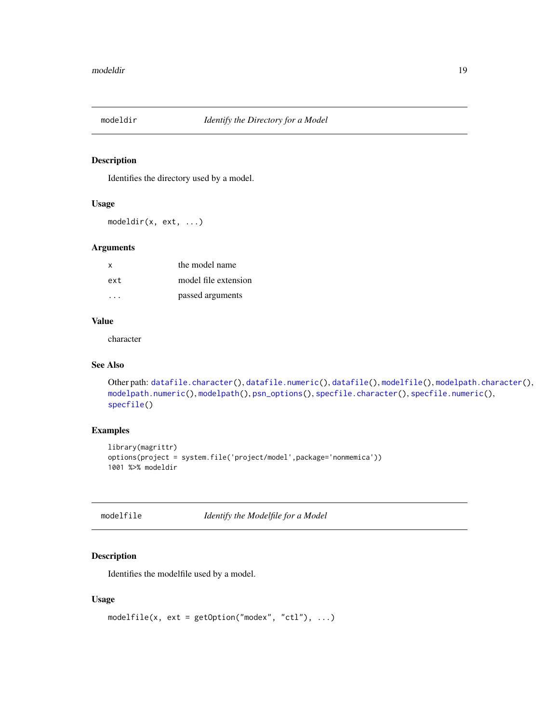<span id="page-18-1"></span><span id="page-18-0"></span>

# Description

Identifies the directory used by a model.

#### Usage

modeldir(x, ext, ...)

#### Arguments

| x   | the model name       |
|-----|----------------------|
| ext | model file extension |
|     | passed arguments     |

# Value

character

# See Also

```
Other path: datafile.character(), datafile.numeric(), datafile(), modelfile(), modelpath.character(),
modelpath.numeric(), modelpath(), psn_options(), specfile.character(), specfile.numeric(),
specfile()
```
# Examples

```
library(magrittr)
options(project = system.file('project/model',package='nonmemica'))
1001 %>% modeldir
```
<span id="page-18-2"></span>

modelfile *Identify the Modelfile for a Model*

# Description

Identifies the modelfile used by a model.

# Usage

```
modelfile(x, ext = getOption("modex", "ctl"), ...)
```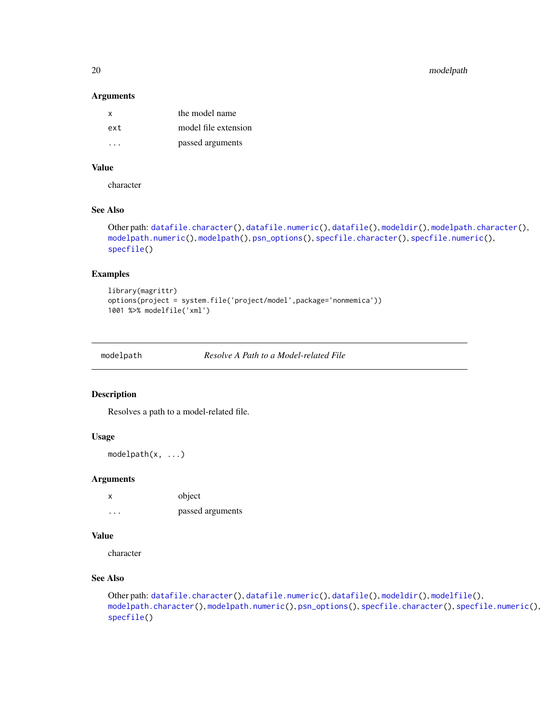<span id="page-19-0"></span>20 modelpath

#### Arguments

| $\mathsf{X}$ | the model name       |
|--------------|----------------------|
| ext          | model file extension |
| $\cdot$ .    | passed arguments     |

# Value

character

# See Also

```
Other path: datafile.character(), datafile.numeric(), datafile(), modeldir(), modelpath.character(),
modelpath.numeric(), modelpath(), psn_options(), specfile.character(), specfile.numeric(),
specfile()
```
#### Examples

```
library(magrittr)
options(project = system.file('project/model',package='nonmemica'))
1001 %>% modelfile('xml')
```
<span id="page-19-1"></span>

modelpath *Resolve A Path to a Model-related File*

#### Description

Resolves a path to a model-related file.

# Usage

modelpath(x, ...)

#### Arguments

x object ... passed arguments

# Value

character

# See Also

```
Other path: datafile.character(), datafile.numeric(), datafile(), modeldir(), modelfile(),
modelpath.character(), modelpath.numeric(), psn_options(), specfile.character(), specfile.numeric(),
specfile()
```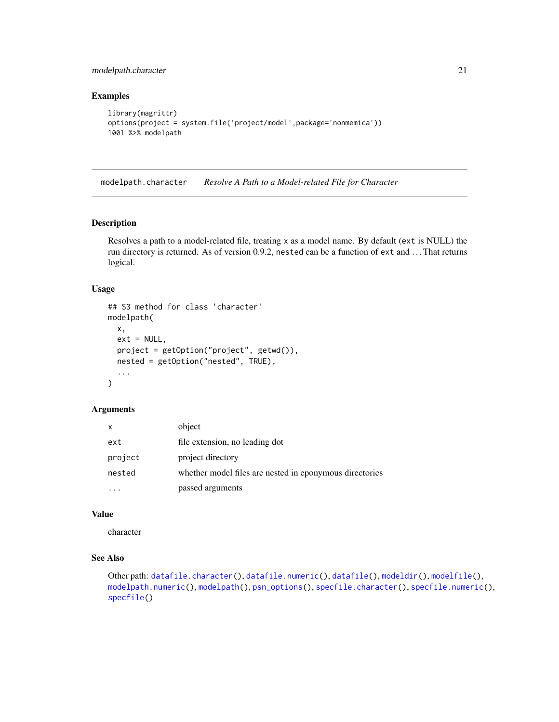<span id="page-20-0"></span>modelpath.character 21

# Examples

```
library(magrittr)
options(project = system.file('project/model',package='nonmemica'))
1001 %>% modelpath
```
<span id="page-20-1"></span>modelpath.character *Resolve A Path to a Model-related File for Character*

#### Description

Resolves a path to a model-related file, treating x as a model name. By default (ext is NULL) the run directory is returned. As of version 0.9.2, nested can be a function of ext and . . . That returns logical.

#### Usage

```
## S3 method for class 'character'
modelpath(
 x,
 ext = NULL,project = getOption("project", getwd()),
 nested = getOption("nested", TRUE),
  ...
\mathcal{L}
```
#### Arguments

| x       | object                                                  |
|---------|---------------------------------------------------------|
| ext     | file extension, no leading dot                          |
| project | project directory                                       |
| nested  | whether model files are nested in eponymous directories |
|         | passed arguments                                        |

# Value

character

# See Also

```
Other path: datafile.character(), datafile.numeric(), datafile(), modeldir(), modelfile(),
modelpath.numeric(), modelpath(), psn_options(), specfile.character(), specfile.numeric(),
specfile()
```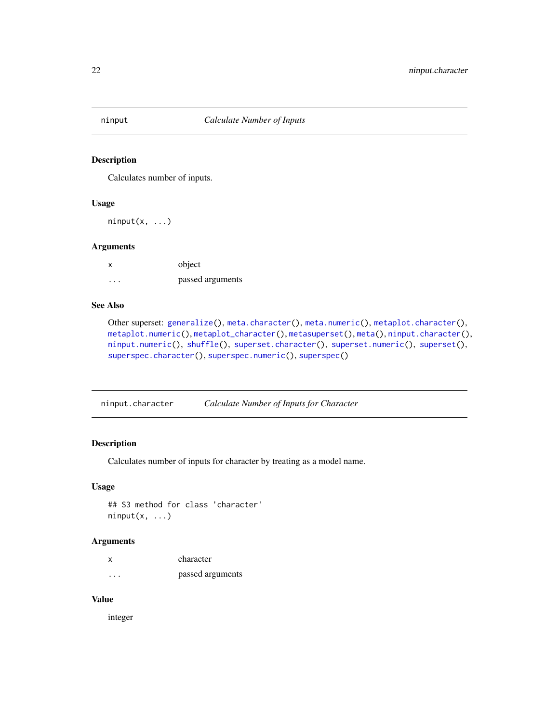<span id="page-21-2"></span><span id="page-21-0"></span>

# Description

Calculates number of inputs.

## Usage

 $ninput(x, \ldots)$ 

# Arguments

| X        | object           |
|----------|------------------|
| $\cdots$ | passed arguments |

# See Also

```
Other superset: generalize(), meta.character(), meta.numeric(), metaplot.character(),
metaplot.numeric(), metaplot_character(), metasuperset(), meta(), ninput.character(),
ninput.numeric(), shuffle(), superset.character(), superset.numeric(), superset(),
superspec.character(), superspec.numeric(), superspec()
```
<span id="page-21-1"></span>ninput.character *Calculate Number of Inputs for Character*

# Description

Calculates number of inputs for character by treating as a model name.

# Usage

```
## S3 method for class 'character'
ninput(x, \ldots)
```
# Arguments

| X       | character        |
|---------|------------------|
| $\cdot$ | passed arguments |

#### Value

integer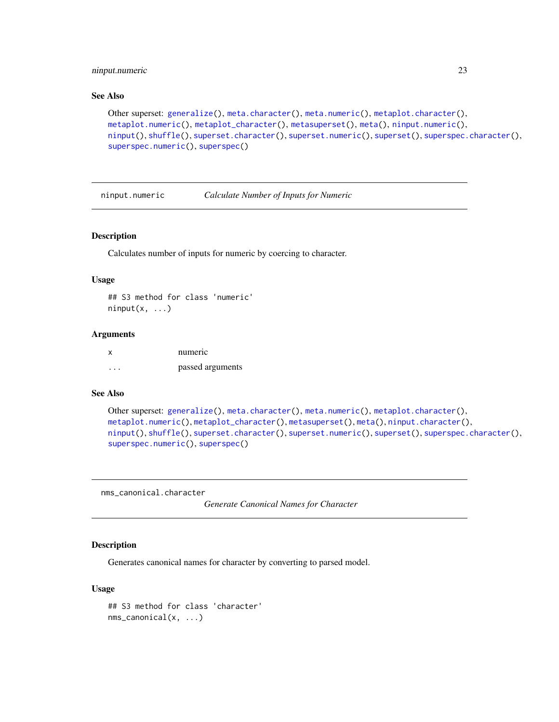# <span id="page-22-0"></span>ninput.numeric 23

# See Also

```
Other superset: generalize(), meta.character(), meta.numeric(), metaplot.character(),
metaplot.numeric(), metaplot_character(), metasuperset(), meta(), ninput.numeric(),
ninput(), shuffle(), superset.character(), superset.numeric(), superset(), superspec.character(),
superspec.numeric(), superspec()
```
<span id="page-22-1"></span>ninput.numeric *Calculate Number of Inputs for Numeric*

# Description

Calculates number of inputs for numeric by coercing to character.

#### Usage

## S3 method for class 'numeric'  $ninput(x, \ldots)$ 

#### Arguments

| <b>X</b> | numeric          |
|----------|------------------|
| .        | passed arguments |

#### See Also

```
Other superset: generalize(), meta.character(), meta.numeric(), metaplot.character(),
metaplot.numeric(), metaplot_character(), metasuperset(), meta(), ninput.character(),
ninput(), shuffle(), superset.character(), superset.numeric(), superset(), superspec.character(),
superspec.numeric(), superspec()
```
nms\_canonical.character

*Generate Canonical Names for Character*

#### Description

Generates canonical names for character by converting to parsed model.

#### Usage

```
## S3 method for class 'character'
nms_canonical(x, ...)
```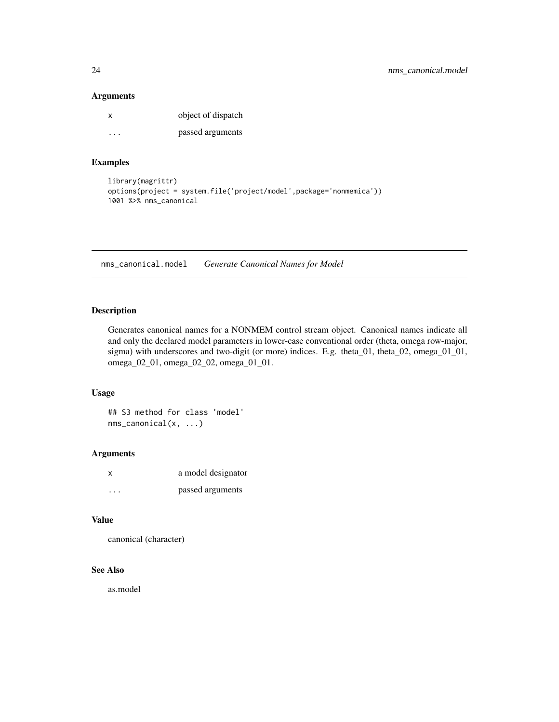# <span id="page-23-0"></span>Arguments

| x       | object of dispatch |
|---------|--------------------|
| $\cdot$ | passed arguments   |

# Examples

```
library(magrittr)
options(project = system.file('project/model',package='nonmemica'))
1001 %>% nms_canonical
```
nms\_canonical.model *Generate Canonical Names for Model*

# Description

Generates canonical names for a NONMEM control stream object. Canonical names indicate all and only the declared model parameters in lower-case conventional order (theta, omega row-major, sigma) with underscores and two-digit (or more) indices. E.g. theta\_01, theta\_02, omega\_01\_01, omega\_02\_01, omega\_02\_02, omega\_01\_01.

#### Usage

```
## S3 method for class 'model'
nms_canonical(x, ...)
```
# Arguments

| x | a model designator |
|---|--------------------|
| . | passed arguments   |

#### Value

canonical (character)

#### See Also

as.model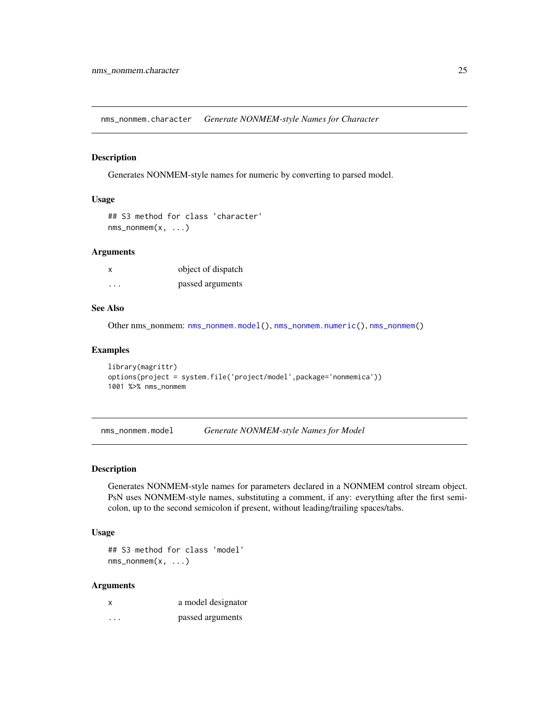<span id="page-24-2"></span><span id="page-24-0"></span>nms\_nonmem.character *Generate NONMEM-style Names for Character*

#### Description

Generates NONMEM-style names for numeric by converting to parsed model.

#### Usage

```
## S3 method for class 'character'
nms\_nonmem(x, \ldots)
```
#### Arguments

| x                       | object of dispatch |
|-------------------------|--------------------|
| $\cdot$ $\cdot$ $\cdot$ | passed arguments   |

#### See Also

Other nms\_nonmem: [nms\\_nonmem.model\(](#page-24-1)), [nms\\_nonmem.numeric\(](#page-0-0)), [nms\\_nonmem\(](#page-0-0))

#### Examples

```
library(magrittr)
options(project = system.file('project/model',package='nonmemica'))
1001 %>% nms_nonmem
```
<span id="page-24-1"></span>nms\_nonmem.model *Generate NONMEM-style Names for Model*

#### Description

Generates NONMEM-style names for parameters declared in a NONMEM control stream object. PsN uses NONMEM-style names, substituting a comment, if any: everything after the first semicolon, up to the second semicolon if present, without leading/trailing spaces/tabs.

#### Usage

## S3 method for class 'model' nms\_nonmem(x, ...)

# Arguments

| X | a model designator |
|---|--------------------|
| . | passed arguments   |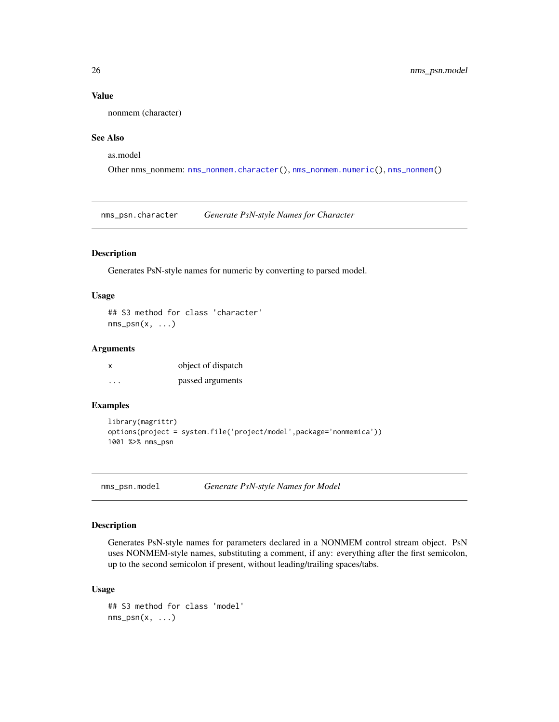#### Value

nonmem (character)

# See Also

as.model

Other nms\_nonmem: [nms\\_nonmem.character\(](#page-24-2)), [nms\\_nonmem.numeric\(](#page-0-0)), [nms\\_nonmem\(](#page-0-0))

nms\_psn.character *Generate PsN-style Names for Character*

# Description

Generates PsN-style names for numeric by converting to parsed model.

# Usage

## S3 method for class 'character'  $nms\_psn(x, \ldots)$ 

#### Arguments

| x | object of dispatch |
|---|--------------------|
| . | passed arguments   |

# Examples

```
library(magrittr)
options(project = system.file('project/model',package='nonmemica'))
1001 %>% nms_psn
```
nms\_psn.model *Generate PsN-style Names for Model*

# Description

Generates PsN-style names for parameters declared in a NONMEM control stream object. PsN uses NONMEM-style names, substituting a comment, if any: everything after the first semicolon, up to the second semicolon if present, without leading/trailing spaces/tabs.

#### Usage

```
## S3 method for class 'model'
nms\_psn(x, \ldots)
```
<span id="page-25-0"></span>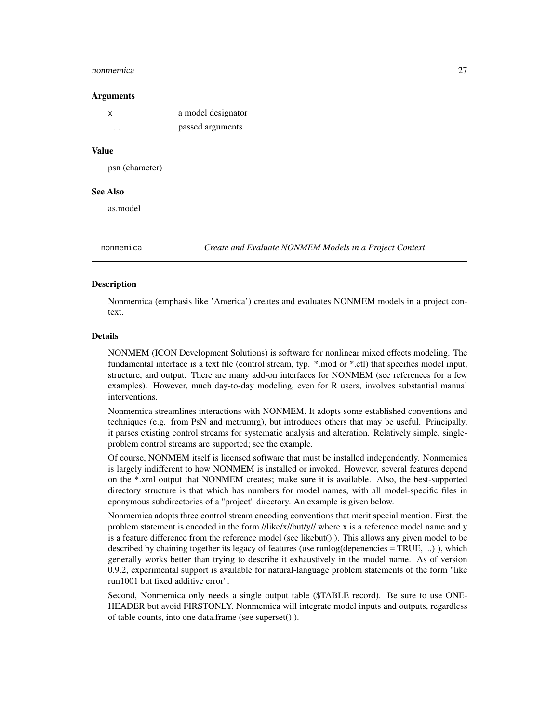#### <span id="page-26-0"></span>nonmemica 27

#### Arguments

| x | a model designator |
|---|--------------------|
| . | passed arguments   |

#### Value

psn (character)

#### See Also

as.model

nonmemica *Create and Evaluate NONMEM Models in a Project Context*

# **Description**

Nonmemica (emphasis like 'America') creates and evaluates NONMEM models in a project context.

# Details

NONMEM (ICON Development Solutions) is software for nonlinear mixed effects modeling. The fundamental interface is a text file (control stream, typ. \*.mod or \*.ctl) that specifies model input, structure, and output. There are many add-on interfaces for NONMEM (see references for a few examples). However, much day-to-day modeling, even for R users, involves substantial manual interventions.

Nonmemica streamlines interactions with NONMEM. It adopts some established conventions and techniques (e.g. from PsN and metrumrg), but introduces others that may be useful. Principally, it parses existing control streams for systematic analysis and alteration. Relatively simple, singleproblem control streams are supported; see the example.

Of course, NONMEM itself is licensed software that must be installed independently. Nonmemica is largely indifferent to how NONMEM is installed or invoked. However, several features depend on the \*.xml output that NONMEM creates; make sure it is available. Also, the best-supported directory structure is that which has numbers for model names, with all model-specific files in eponymous subdirectories of a "project" directory. An example is given below.

Nonmemica adopts three control stream encoding conventions that merit special mention. First, the problem statement is encoded in the form //like/x//but/y// where x is a reference model name and y is a feature difference from the reference model (see likebut() ). This allows any given model to be described by chaining together its legacy of features (use runlog(depenencies = TRUE, ...) ), which generally works better than trying to describe it exhaustively in the model name. As of version 0.9.2, experimental support is available for natural-language problem statements of the form "like run1001 but fixed additive error".

Second, Nonmemica only needs a single output table (\$TABLE record). Be sure to use ONE-HEADER but avoid FIRSTONLY. Nonmemica will integrate model inputs and outputs, regardless of table counts, into one data.frame (see superset() ).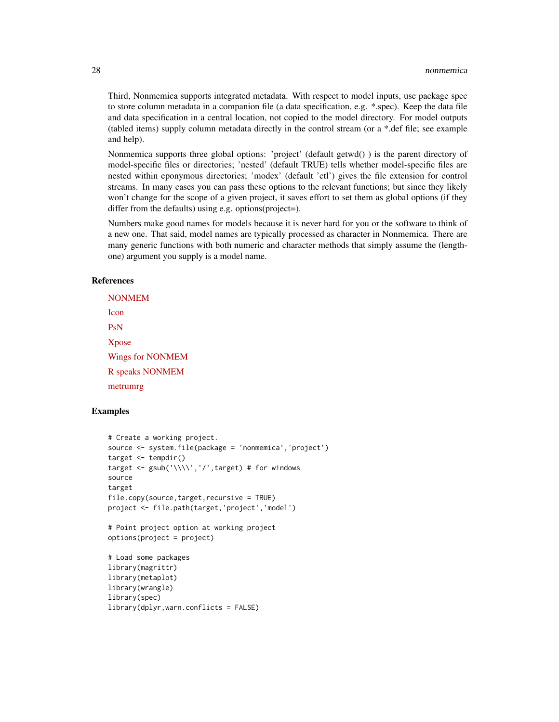Third, Nonmemica supports integrated metadata. With respect to model inputs, use package spec to store column metadata in a companion file (a data specification, e.g. \*.spec). Keep the data file and data specification in a central location, not copied to the model directory. For model outputs (tabled items) supply column metadata directly in the control stream (or a \*.def file; see example and help).

Nonmemica supports three global options: 'project' (default getwd() ) is the parent directory of model-specific files or directories; 'nested' (default TRUE) tells whether model-specific files are nested within eponymous directories; 'modex' (default 'ctl') gives the file extension for control streams. In many cases you can pass these options to the relevant functions; but since they likely won't change for the scope of a given project, it saves effort to set them as global options (if they differ from the defaults) using e.g. options(project=).

Numbers make good names for models because it is never hard for you or the software to think of a new one. That said, model names are typically processed as character in Nonmemica. There are many generic functions with both numeric and character methods that simply assume the (lengthone) argument you supply is a model name.

#### References

[NONMEM](https://en.wikipedia.org/wiki/NONMEM) [Icon](http://www.iconplc.com/innovation/nonmem/) [PsN](https://uupharmacometrics.github.io/PsN/) [Xpose](http://xpose.sourceforge.net/) [Wings for NONMEM](http://wfn.sourceforge.net/) [R speaks NONMEM](https://github.com/MikeKSmith/rspeaksnonmem) [metrumrg](https://r-forge.r-project.org/R/?group_id=1215)

#### Examples

```
# Create a working project.
source <- system.file(package = 'nonmemica','project')
target <- tempdir()
target <- gsub('\\\\','/',target) # for windows
source
target
file.copy(source,target,recursive = TRUE)
project <- file.path(target,'project','model')
# Point project option at working project
options(project = project)
# Load some packages
library(magrittr)
library(metaplot)
library(wrangle)
library(spec)
library(dplyr,warn.conflicts = FALSE)
```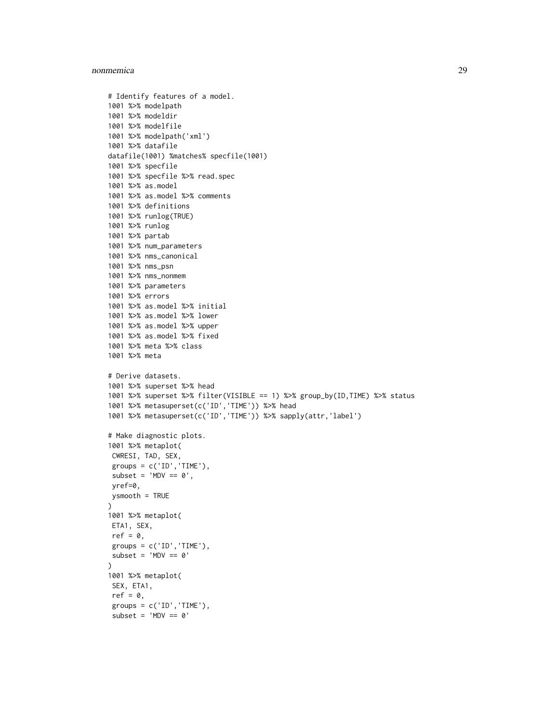#### nonmemica 29

```
# Identify features of a model.
1001 %>% modelpath
1001 %>% modeldir
1001 %>% modelfile
1001 %>% modelpath('xml')
1001 %>% datafile
datafile(1001) %matches% specfile(1001)
1001 %>% specfile
1001 %>% specfile %>% read.spec
1001 %>% as.model
1001 %>% as.model %>% comments
1001 %>% definitions
1001 %>% runlog(TRUE)
1001 %>% runlog
1001 %>% partab
1001 %>% num_parameters
1001 %>% nms_canonical
1001 %>% nms_psn
1001 %>% nms_nonmem
1001 %>% parameters
1001 %>% errors
1001 %>% as.model %>% initial
1001 %>% as.model %>% lower
1001 %>% as.model %>% upper
1001 %>% as.model %>% fixed
1001 %>% meta %>% class
1001 %>% meta
# Derive datasets.
1001 %>% superset %>% head
1001 %>% superset %>% filter(VISIBLE == 1) %>% group_by(ID,TIME) %>% status
1001 %>% metasuperset(c('ID','TIME')) %>% head
1001 %>% metasuperset(c('ID','TIME')) %>% sapply(attr,'label')
# Make diagnostic plots.
1001 %>% metaplot(
CWRESI, TAD, SEX,
 groups = c('ID', 'TIME'),subset = 'MDV == 0',yref=0,
ysmooth = TRUE
\mathcal{L}1001 %>% metaplot(
ETA1, SEX,
 ref = 0,
 groups = c('ID', 'TIME'),subset = 'MDV == 0')
1001 %>% metaplot(
 SEX, ETA1,
 ref = 0,groups = c('ID', 'TIME'),subset = 'MDV == 0'
```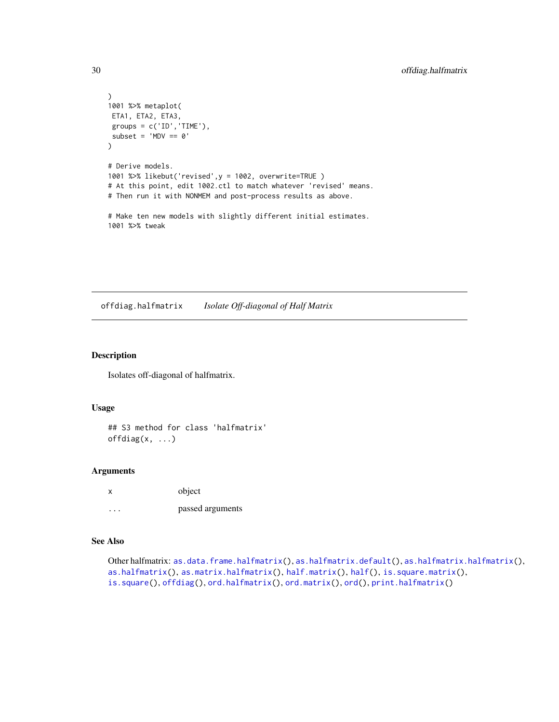```
)
1001 %>% metaplot(
ETA1, ETA2, ETA3,
groups = c('ID', 'TIME'),subset = 'MDV == 0'\lambda# Derive models.
1001 %>% likebut('revised',y = 1002, overwrite=TRUE )
# At this point, edit 1002.ctl to match whatever 'revised' means.
# Then run it with NONMEM and post-process results as above.
# Make ten new models with slightly different initial estimates.
1001 %>% tweak
```
<span id="page-29-1"></span>offdiag.halfmatrix *Isolate Off-diagonal of Half Matrix*

# Description

Isolates off-diagonal of halfmatrix.

#### Usage

## S3 method for class 'halfmatrix'  $offdiag(x, \ldots)$ 

# Arguments

|         | object           |
|---------|------------------|
| $\cdot$ | passed arguments |

# See Also

```
as.data.frame.halfmatrix(as.halfmatrix.default(as.halfmatrix.halfmatrix(),
as.halfmatrix(as.matrix.halfmatrix(half.matrix(half(is.square.matrix(),
is.square(), offdiag(), ord.halfmatrix(), ord.matrix(), ord(), print.halfmatrix()
```
<span id="page-29-0"></span>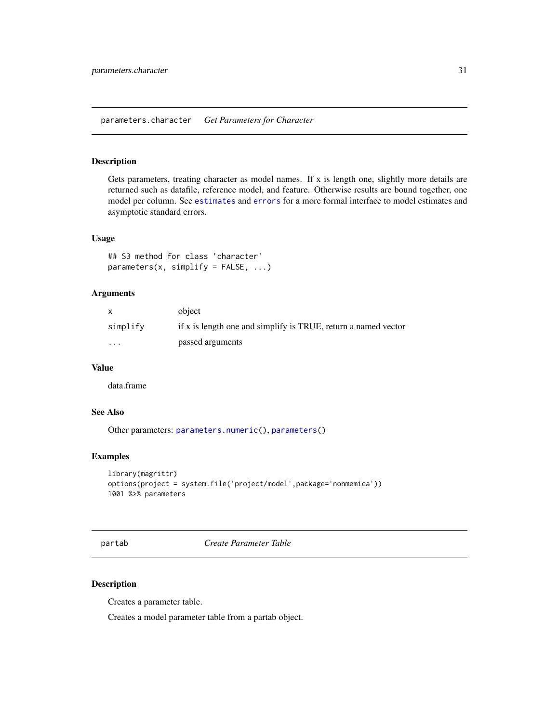# <span id="page-30-0"></span>Description

Gets parameters, treating character as model names. If  $x$  is length one, slightly more details are returned such as datafile, reference model, and feature. Otherwise results are bound together, one model per column. See [estimates](#page-0-0) and [errors](#page-0-0) for a more formal interface to model estimates and asymptotic standard errors.

#### Usage

```
## S3 method for class 'character'
parameters(x, simplify = FALSE, ...)
```
## **Arguments**

|          | object                                                         |
|----------|----------------------------------------------------------------|
| simplify | if x is length one and simplify is TRUE, return a named vector |
| $\cdots$ | passed arguments                                               |

#### Value

data.frame

# See Also

Other parameters: [parameters.numeric\(](#page-0-0)), [parameters\(](#page-0-0))

# Examples

```
library(magrittr)
options(project = system.file('project/model',package='nonmemica'))
1001 %>% parameters
```
<span id="page-30-1"></span>partab *Create Parameter Table*

#### Description

Creates a parameter table.

Creates a model parameter table from a partab object.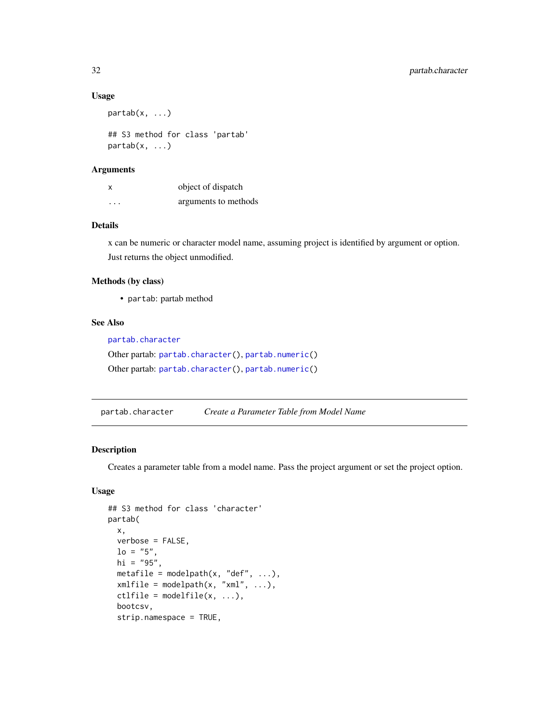#### Usage

```
partab(x, \ldots)
```
## S3 method for class 'partab' partab(x, ...)

# Arguments

| $\boldsymbol{\mathsf{x}}$ | object of dispatch   |
|---------------------------|----------------------|
| $\cdots$                  | arguments to methods |

# Details

x can be numeric or character model name, assuming project is identified by argument or option. Just returns the object unmodified.

# Methods (by class)

• partab: partab method

#### See Also

```
partab.character
Other partab: partab.character(), partab.numeric()
Other partab: partab.character(), partab.numeric()
```
<span id="page-31-1"></span>partab.character *Create a Parameter Table from Model Name*

#### Description

Creates a parameter table from a model name. Pass the project argument or set the project option.

# Usage

```
## S3 method for class 'character'
partab(
 x,
 verbose = FALSE,
 lo = "5".hi = "95",
 metafile = modelpath(x, "def", ...),xmlfile = modelpath(x, "xml", ...),ctlfile = modelfile(x, ...),
 bootcsv,
  strip.namespace = TRUE,
```
<span id="page-31-0"></span>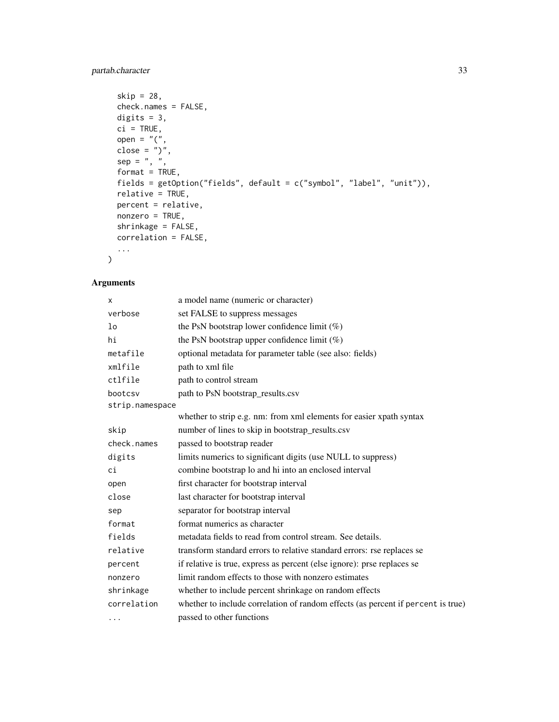# partab.character 33

```
skip = 28,check.names = FALSE,
digits = 3,
ci = TRUE,open = "("close = ")",
sep = " , " ,format = TRUE,fields = getOption("fields", default = c("symbol", "label", "unit")),
relative = TRUE,
percent = relative,
nonzero = TRUE,
shrinkage = FALSE,
correlation = FALSE,
...
```
# Arguments

)

| X               | a model name (numeric or character)                                              |
|-----------------|----------------------------------------------------------------------------------|
| verbose         | set FALSE to suppress messages                                                   |
| 1 <sub>o</sub>  | the PsN bootstrap lower confidence limit $(\%)$                                  |
| hi              | the PsN bootstrap upper confidence limit $(\%)$                                  |
| metafile        | optional metadata for parameter table (see also: fields)                         |
| xmlfile         | path to xml file                                                                 |
| ctlfile         | path to control stream                                                           |
| bootcsv         | path to PsN bootstrap_results.csv                                                |
| strip.namespace |                                                                                  |
|                 | whether to strip e.g. nm: from xml elements for easier xpath syntax              |
| skip            | number of lines to skip in bootstrap_results.csv                                 |
| check.names     | passed to bootstrap reader                                                       |
| digits          | limits numerics to significant digits (use NULL to suppress)                     |
| сi              | combine bootstrap lo and hi into an enclosed interval                            |
| open            | first character for bootstrap interval                                           |
| close           | last character for bootstrap interval                                            |
| sep             | separator for bootstrap interval                                                 |
| format          | format numerics as character                                                     |
| fields          | metadata fields to read from control stream. See details.                        |
| relative        | transform standard errors to relative standard errors: rse replaces se           |
| percent         | if relative is true, express as percent (else ignore): prse replaces se          |
| nonzero         | limit random effects to those with nonzero estimates                             |
| shrinkage       | whether to include percent shrinkage on random effects                           |
| correlation     | whether to include correlation of random effects (as percent if percent is true) |
| $\cdots$        | passed to other functions                                                        |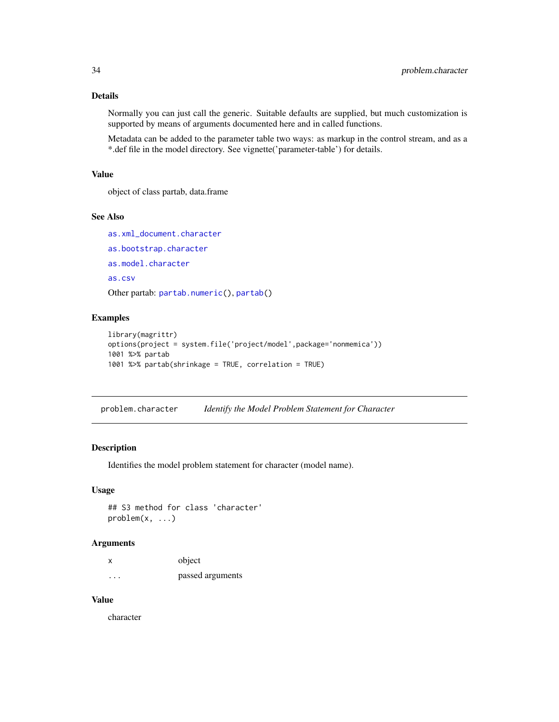# <span id="page-33-0"></span>Details

Normally you can just call the generic. Suitable defaults are supplied, but much customization is supported by means of arguments documented here and in called functions.

Metadata can be added to the parameter table two ways: as markup in the control stream, and as a \*.def file in the model directory. See vignette('parameter-table') for details.

# Value

object of class partab, data.frame

# See Also

```
as.xml_document.character
as.bootstrap.character
as.model.character
as.csv
Other partab: partab.numeric(), partab()
```
#### Examples

```
library(magrittr)
options(project = system.file('project/model',package='nonmemica'))
1001 %>% partab
1001 %>% partab(shrinkage = TRUE, correlation = TRUE)
```
problem.character *Identify the Model Problem Statement for Character*

# Description

Identifies the model problem statement for character (model name).

#### Usage

```
## S3 method for class 'character'
problem(x, ...)
```
#### Arguments

|   | object           |
|---|------------------|
| . | passed arguments |

# Value

character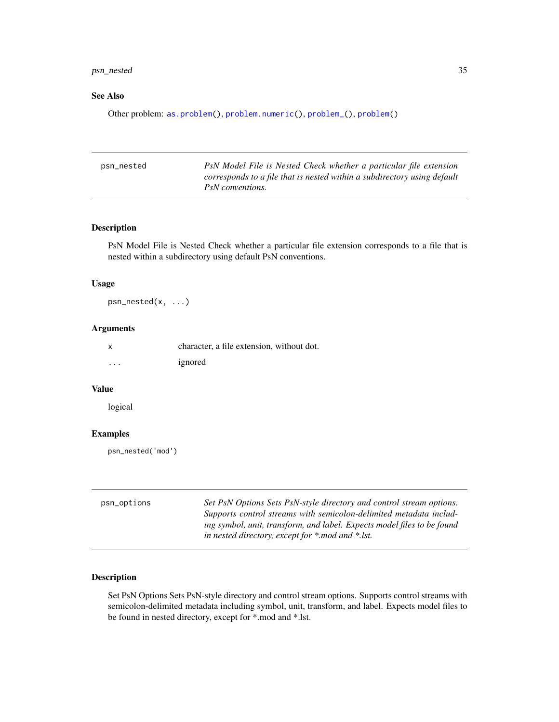# <span id="page-34-0"></span>psn\_nested 35

# See Also

Other problem: [as.problem\(](#page-0-0)), [problem.numeric\(](#page-0-0)), [problem\\_\(](#page-0-0)), [problem\(](#page-0-0))

| PsN Model File is Nested Check whether a particular file extension       |
|--------------------------------------------------------------------------|
| corresponds to a file that is nested within a subdirectory using default |
| PsN conventions.                                                         |
|                                                                          |

# Description

PsN Model File is Nested Check whether a particular file extension corresponds to a file that is nested within a subdirectory using default PsN conventions.

#### Usage

psn\_nested(x, ...)

# Arguments

| $\boldsymbol{\mathsf{x}}$ | character, a file extension, without dot. |
|---------------------------|-------------------------------------------|
| $\cdots$                  | ignored                                   |

# Value

logical

# Examples

psn\_nested('mod')

<span id="page-34-1"></span>

| psn_options | Set PsN Options Sets PsN-style directory and control stream options.    |
|-------------|-------------------------------------------------------------------------|
|             | Supports control streams with semicolon-delimited metadata includ-      |
|             | ing symbol, unit, transform, and label. Expects model files to be found |
|             | in nested directory, except for *.mod and *.lst.                        |

# Description

Set PsN Options Sets PsN-style directory and control stream options. Supports control streams with semicolon-delimited metadata including symbol, unit, transform, and label. Expects model files to be found in nested directory, except for \*.mod and \*.lst.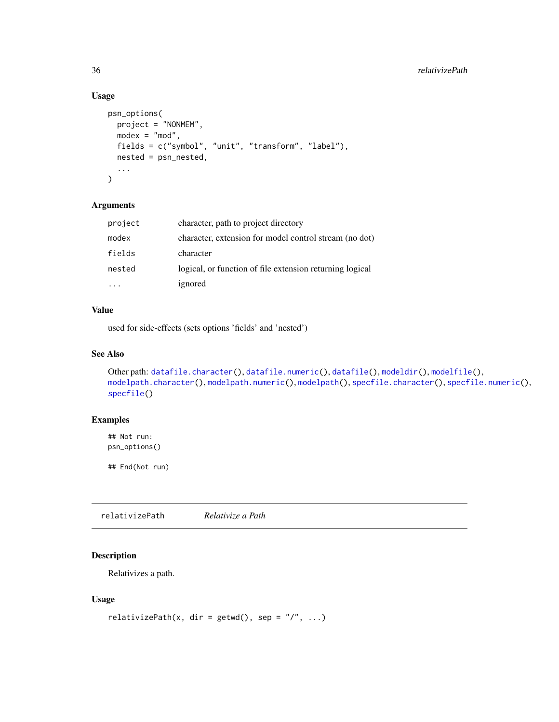# Usage

```
psn_options(
 project = "NONMEM",
 modex = "mod",fields = c("symbol", "unit", "transform", "label"),
 nested = psn_nested,
  ...
)
```
# Arguments

| project | character, path to project directory                     |
|---------|----------------------------------------------------------|
| modex   | character, extension for model control stream (no dot)   |
| fields  | character                                                |
| nested  | logical, or function of file extension returning logical |
|         | ignored                                                  |

# Value

used for side-effects (sets options 'fields' and 'nested')

# See Also

```
Other path: datafile.character(), datafile.numeric(), datafile(), modeldir(), modelfile(),
modelpath.character(), modelpath.numeric(), modelpath(), specfile.character(), specfile.numeric(),
specfile()
```
# Examples

## Not run: psn\_options()

## End(Not run)

relativizePath *Relativize a Path*

# Description

Relativizes a path.

# Usage

```
relativizePath(x, dir = getwd(), sep = ''/, ...)
```
<span id="page-35-0"></span>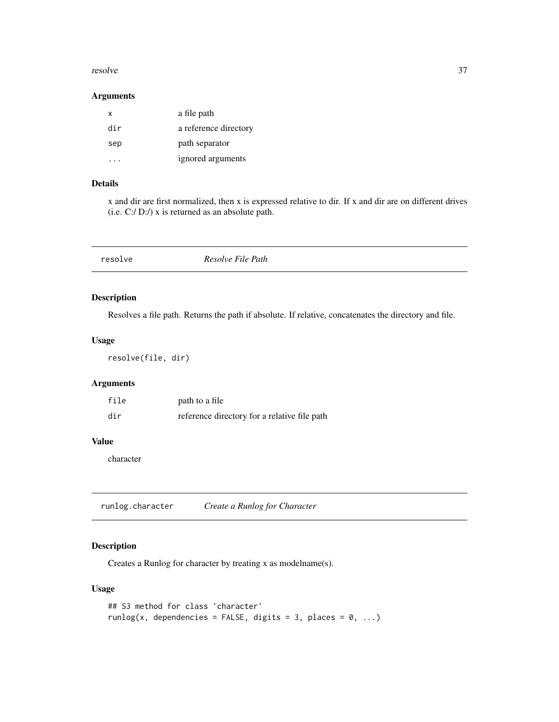#### <span id="page-36-0"></span>resolve 37

#### Arguments

| x   | a file path           |
|-----|-----------------------|
| dir | a reference directory |
| sep | path separator        |
|     | ignored arguments     |

# Details

x and dir are first normalized, then x is expressed relative to dir. If x and dir are on different drives (i.e. C:/ D:/) x is returned as an absolute path.

# Description

Resolves a file path. Returns the path if absolute. If relative, concatenates the directory and file.

# Usage

resolve(file, dir)

# Arguments

| file | path to a file                               |
|------|----------------------------------------------|
| dir  | reference directory for a relative file path |

# Value

character

<span id="page-36-1"></span>runlog.character *Create a Runlog for Character*

# Description

Creates a Runlog for character by treating x as modelname(s).

#### Usage

```
## S3 method for class 'character'
runlog(x, dependencies = FALSE, digits = 3, places = 0, ...)
```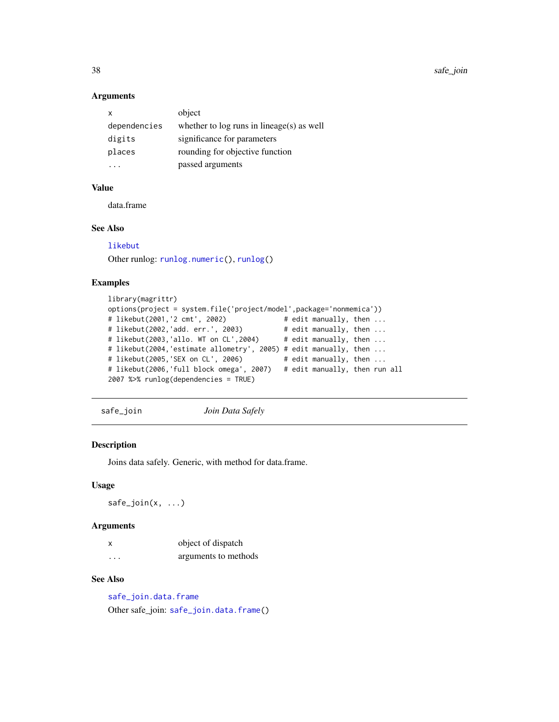38 safe\_join

#### Arguments

| x            | object                                      |
|--------------|---------------------------------------------|
| dependencies | whether to $log$ runs in lineage(s) as well |
| digits       | significance for parameters                 |
| places       | rounding for objective function             |
|              | passed arguments                            |

#### Value

data.frame

#### See Also

[likebut](#page-12-1)

Other runlog: [runlog.numeric\(](#page-0-0)), [runlog\(](#page-0-0))

# Examples

```
library(magrittr)
options(project = system.file('project/model',package='nonmemica'))
# likebut(2001,'2 cmt', 2002) # edit manually, then ...
# likebut(2002,'add. err.', 2003) # edit manually, then ...
# likebut(2003,'allo. WT on CL',2004)
# likebut(2004,'estimate allometry', 2005) # edit manually, then ...
# likebut(2005,'SEX on CL', 2006)
# likebut(2006,'full block omega', 2007) # edit manually, then run all
2007 %>% runlog(dependencies = TRUE)
```
<span id="page-37-1"></span>safe\_join *Join Data Safely*

# Description

Joins data safely. Generic, with method for data.frame.

# Usage

 $safe\_join(x, ...)$ 

# Arguments

|   | object of dispatch   |
|---|----------------------|
| . | arguments to methods |

# See Also

[safe\\_join.data.frame](#page-38-2) Other safe\_join: [safe\\_join.data.frame\(](#page-38-2))

<span id="page-37-0"></span>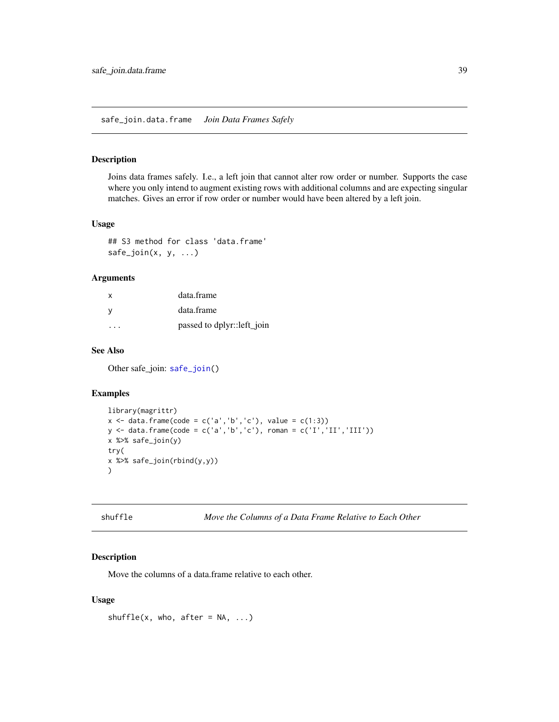#### <span id="page-38-2"></span><span id="page-38-0"></span>Description

Joins data frames safely. I.e., a left join that cannot alter row order or number. Supports the case where you only intend to augment existing rows with additional columns and are expecting singular matches. Gives an error if row order or number would have been altered by a left join.

#### Usage

## S3 method for class 'data.frame'  $safe\_join(x, y, ...)$ 

#### Arguments

| X                       | data.frame                 |
|-------------------------|----------------------------|
| - V                     | data.frame                 |
| $\cdot$ $\cdot$ $\cdot$ | passed to dplyr::left_join |

# See Also

Other safe\_join: [safe\\_join\(](#page-37-1))

#### Examples

```
library(magrittr)
x \le - data.frame(code = c('a','b','c'), value = c(1:3))
y <- data.frame(code = c('a','b','c'), roman = c('I','II','III'))
x %>% safe_join(y)
try(
x %>% safe_join(rbind(y,y))
)
```
<span id="page-38-1"></span>shuffle *Move the Columns of a Data Frame Relative to Each Other*

# Description

Move the columns of a data.frame relative to each other.

#### Usage

shuffle(x, who, after =  $NA$ , ...)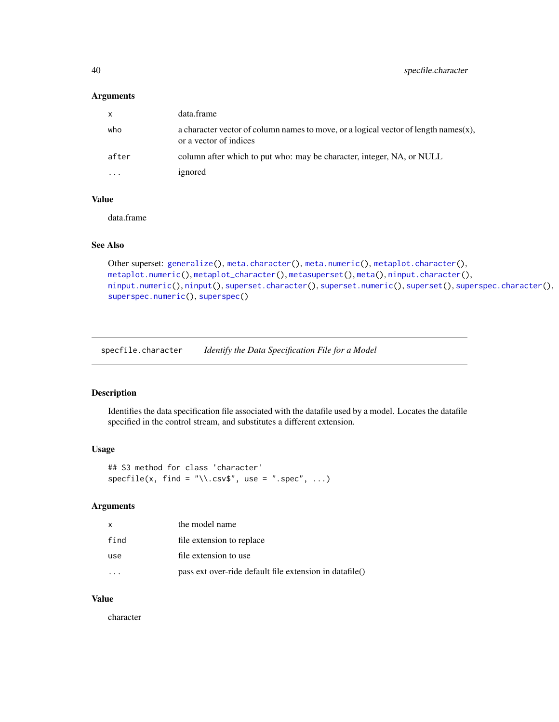#### <span id="page-39-0"></span>Arguments

| $\mathsf{X}$ | data.frame                                                                                                        |
|--------------|-------------------------------------------------------------------------------------------------------------------|
| who          | a character vector of column names to move, or a logical vector of length names $(x)$ ,<br>or a vector of indices |
| after        | column after which to put who: may be character, integer, NA, or NULL                                             |
| .            | ignored                                                                                                           |

#### Value

data.frame

# See Also

```
Other superset: generalize(), meta.character(), meta.numeric(), metaplot.character(),
metaplot.numeric(), metaplot_character(), metasuperset(), meta(), ninput.character(),
ninput.numeric(), ninput(), superset.character(), superset.numeric(), superset(), superspec.character(),
superspec.numeric(), superspec()
```
<span id="page-39-1"></span>specfile.character *Identify the Data Specification File for a Model*

#### Description

Identifies the data specification file associated with the datafile used by a model. Locates the datafile specified in the control stream, and substitutes a different extension.

#### Usage

```
## S3 method for class 'character'
specific(x, find = "\\csv$", use = ".spec", ...)
```
# Arguments

|      | the model name                                          |
|------|---------------------------------------------------------|
| find | file extension to replace                               |
| use  | file extension to use                                   |
|      | pass ext over-ride default file extension in datafile() |

#### Value

character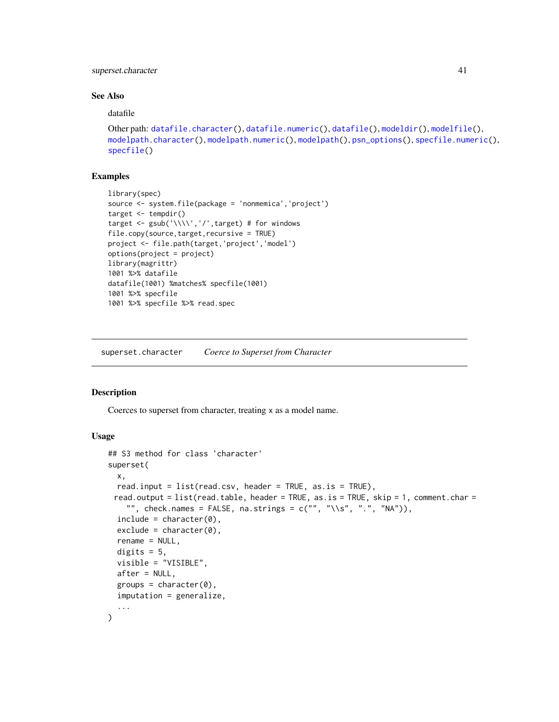# <span id="page-40-0"></span>superset.character 41

#### See Also

datafile

```
Other path: datafile.character(), datafile.numeric(), datafile(), modeldir(), modelfile(),
modelpath.character(), modelpath.numeric(), modelpath(), psn_options(), specfile.numeric(),
specfile()
```
# Examples

```
library(spec)
source <- system.file(package = 'nonmemica','project')
target <- tempdir()
target \leq gsub('\\\\','/',target) # for windows
file.copy(source,target,recursive = TRUE)
project <- file.path(target,'project','model')
options(project = project)
library(magrittr)
1001 %>% datafile
datafile(1001) %matches% specfile(1001)
1001 %>% specfile
1001 %>% specfile %>% read.spec
```
<span id="page-40-1"></span>superset.character *Coerce to Superset from Character*

#### **Description**

Coerces to superset from character, treating x as a model name.

#### Usage

```
## S3 method for class 'character'
superset(
 x,
 read.input = list(read.csv, header = TRUE, as.is = TRUE),
 read.output = list(read.table, header = TRUE, as.is = TRUE, skip = 1, comment.char ="", check.names = FALSE, na.strings = c("", "\\s", "."", "NA")),
  include = character(0),
  exclude = character(0),
  rename = NULL,
  digits = 5,
  visible = "VISIBLE",
  after = NULL,
  groups = character(0),
  imputation = generalize,
  ...
)
```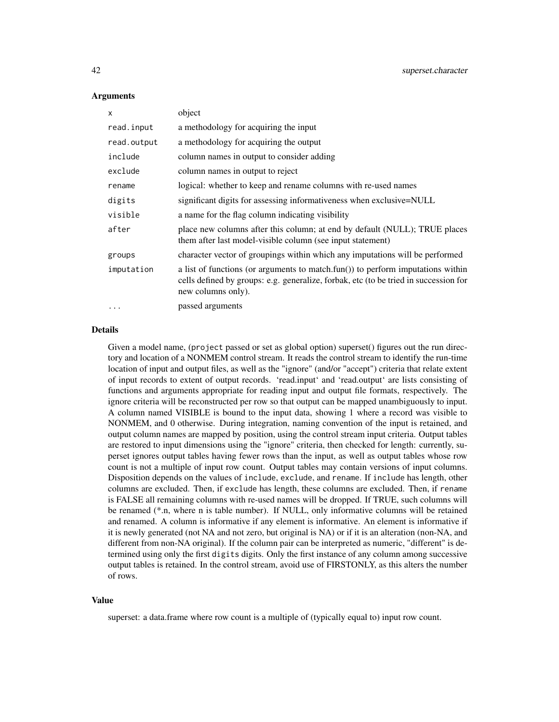#### **Arguments**

| X           | object                                                                                                                                                                                        |
|-------------|-----------------------------------------------------------------------------------------------------------------------------------------------------------------------------------------------|
| read.input  | a methodology for acquiring the input                                                                                                                                                         |
| read.output | a methodology for acquiring the output                                                                                                                                                        |
| include     | column names in output to consider adding                                                                                                                                                     |
| exclude     | column names in output to reject                                                                                                                                                              |
| rename      | logical: whether to keep and rename columns with re-used names                                                                                                                                |
| digits      | significant digits for assessing informativeness when exclusive=NULL                                                                                                                          |
| visible     | a name for the flag column indicating visibility                                                                                                                                              |
| after       | place new columns after this column; at end by default (NULL); TRUE places<br>them after last model-visible column (see input statement)                                                      |
| groups      | character vector of groupings within which any imputations will be performed                                                                                                                  |
| imputation  | a list of functions (or arguments to match.fun()) to perform imputations within<br>cells defined by groups: e.g. generalize, forbak, etc (to be tried in succession for<br>new columns only). |
| $\ddotsc$   | passed arguments                                                                                                                                                                              |

# Details

Given a model name, (project passed or set as global option) superset() figures out the run directory and location of a NONMEM control stream. It reads the control stream to identify the run-time location of input and output files, as well as the "ignore" (and/or "accept") criteria that relate extent of input records to extent of output records. 'read.input' and 'read.output' are lists consisting of functions and arguments appropriate for reading input and output file formats, respectively. The ignore criteria will be reconstructed per row so that output can be mapped unambiguously to input. A column named VISIBLE is bound to the input data, showing 1 where a record was visible to NONMEM, and 0 otherwise. During integration, naming convention of the input is retained, and output column names are mapped by position, using the control stream input criteria. Output tables are restored to input dimensions using the "ignore" criteria, then checked for length: currently, superset ignores output tables having fewer rows than the input, as well as output tables whose row count is not a multiple of input row count. Output tables may contain versions of input columns. Disposition depends on the values of include, exclude, and rename. If include has length, other columns are excluded. Then, if exclude has length, these columns are excluded. Then, if rename is FALSE all remaining columns with re-used names will be dropped. If TRUE, such columns will be renamed (\*.n, where n is table number). If NULL, only informative columns will be retained and renamed. A column is informative if any element is informative. An element is informative if it is newly generated (not NA and not zero, but original is NA) or if it is an alteration (non-NA, and different from non-NA original). If the column pair can be interpreted as numeric, "different" is determined using only the first digits digits. Only the first instance of any column among successive output tables is retained. In the control stream, avoid use of FIRSTONLY, as this alters the number of rows.

#### Value

superset: a data.frame where row count is a multiple of (typically equal to) input row count.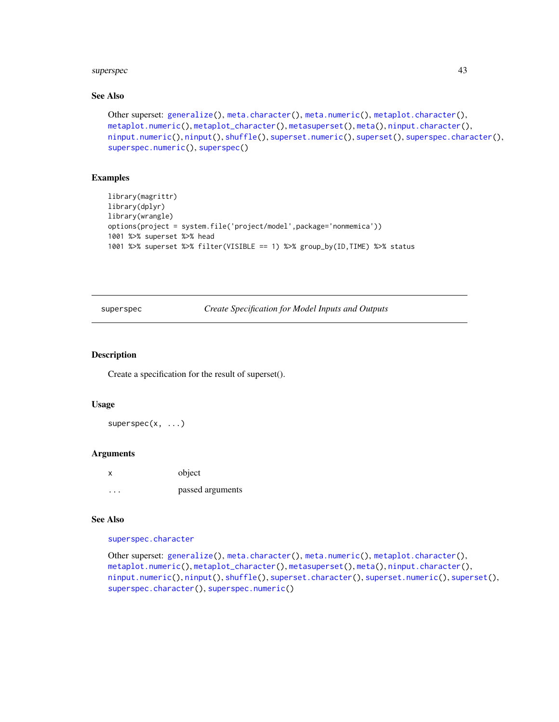#### <span id="page-42-0"></span>superspectively and the superspectively superspectively and the superspectively and the superspectively and the superspectively and the superspectively and the superspectively and the superspectively and the superspectivel

# See Also

```
Other superset: generalize(), meta.character(), meta.numeric(), metaplot.character(),
metaplot.numeric(), metaplot_character(), metasuperset(), meta(), ninput.character(),
ninput.numeric(), ninput(), shuffle(), superset.numeric(), superset(), superspec.character(),
superspec.numeric(), superspec()
```
#### Examples

```
library(magrittr)
library(dplyr)
library(wrangle)
options(project = system.file('project/model',package='nonmemica'))
1001 %>% superset %>% head
1001 %>% superset %>% filter(VISIBLE == 1) %>% group_by(ID,TIME) %>% status
```
<span id="page-42-1"></span>superspec *Create Specification for Model Inputs and Outputs*

#### Description

Create a specification for the result of superset().

#### Usage

superspec(x, ...)

#### Arguments

| x | object           |
|---|------------------|
| . | passed arguments |

#### See Also

[superspec.character](#page-43-1)

Other superset: [generalize\(](#page-10-1)), [meta.character\(](#page-14-1)), [meta.numeric\(](#page-0-0)), [metaplot.character\(](#page-15-1)), [metaplot.numeric\(](#page-0-0)), [metaplot\\_character\(](#page-16-1)), [metasuperset\(](#page-17-1)), [meta\(](#page-0-0)), [ninput.character\(](#page-21-1)), [ninput.numeric\(](#page-22-1)), [ninput\(](#page-21-2)), [shuffle\(](#page-38-1)), [superset.character\(](#page-40-1)), [superset.numeric\(](#page-0-0)), [superset\(](#page-0-0)), [superspec.character\(](#page-43-1)), [superspec.numeric\(](#page-44-1))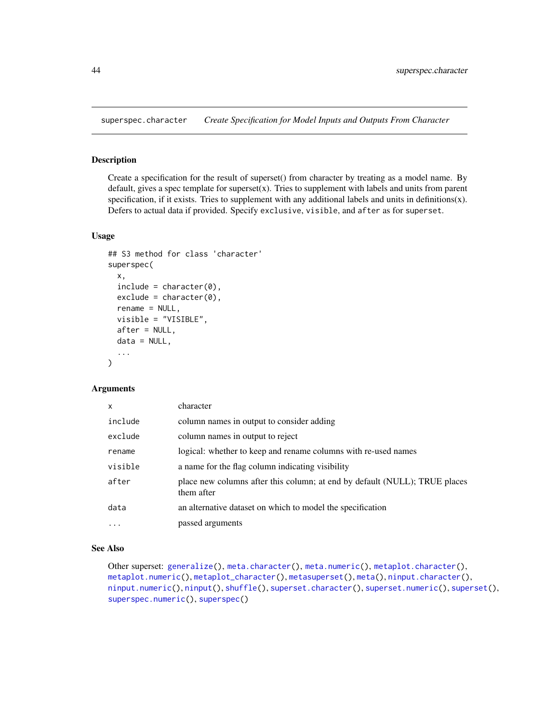<span id="page-43-1"></span><span id="page-43-0"></span>superspec.character *Create Specification for Model Inputs and Outputs From Character*

# Description

Create a specification for the result of superset() from character by treating as a model name. By default, gives a spec template for superset(x). Tries to supplement with labels and units from parent specification, if it exists. Tries to supplement with any additional labels and units in definitions(x). Defers to actual data if provided. Specify exclusive, visible, and after as for superset.

# Usage

```
## S3 method for class 'character'
superspec(
 x,
 include = character(0),
 exclude = character(0),
 rename = NULL,
 visible = "VISIBLE",
 after = NULL,
  data = NULL,...
\lambda
```
#### **Arguments**

| $\mathsf{x}$ | character                                                                                |
|--------------|------------------------------------------------------------------------------------------|
| include      | column names in output to consider adding                                                |
| exclude      | column names in output to reject                                                         |
| rename       | logical: whether to keep and rename columns with re-used names                           |
| visible      | a name for the flag column indicating visibility                                         |
| after        | place new columns after this column; at end by default (NULL); TRUE places<br>them after |
| data         | an alternative dataset on which to model the specification                               |
| $\cdots$     | passed arguments                                                                         |

#### See Also

Other superset: [generalize\(](#page-10-1)), [meta.character\(](#page-14-1)), [meta.numeric\(](#page-0-0)), [metaplot.character\(](#page-15-1)), [metaplot.numeric\(](#page-0-0)), [metaplot\\_character\(](#page-16-1)), [metasuperset\(](#page-17-1)), [meta\(](#page-0-0)), [ninput.character\(](#page-21-1)), [ninput.numeric\(](#page-22-1)), [ninput\(](#page-21-2)), [shuffle\(](#page-38-1)), [superset.character\(](#page-40-1)), [superset.numeric\(](#page-0-0)), [superset\(](#page-0-0)), [superspec.numeric\(](#page-44-1)), [superspec\(](#page-42-1))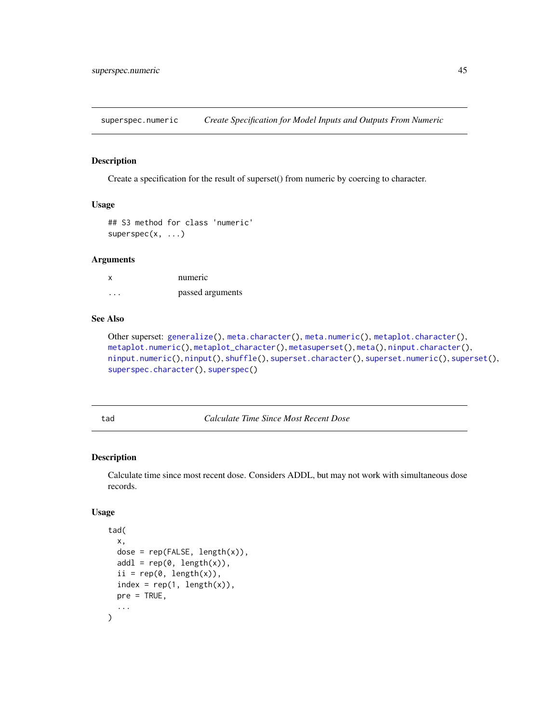<span id="page-44-1"></span><span id="page-44-0"></span>superspec.numeric *Create Specification for Model Inputs and Outputs From Numeric*

# Description

Create a specification for the result of superset() from numeric by coercing to character.

# Usage

```
## S3 method for class 'numeric'
superspec(x, \ldots)
```
#### Arguments

| x | numeric          |
|---|------------------|
| . | passed arguments |

# See Also

```
Other superset: generalize(), meta.character(), meta.numeric(), metaplot.character(),
metaplot.numeric(), metaplot_character(), metasuperset(), meta(), ninput.character(),
ninput.numeric(), ninput(), shuffle(), superset.character(), superset.numeric(), superset(),
superspec.character(), superspec()
```
<span id="page-44-2"></span>tad *Calculate Time Since Most Recent Dose*

# Description

Calculate time since most recent dose. Considers ADDL, but may not work with simultaneous dose records.

#### Usage

```
tad(
  x,
 dose = rep(FALSE, length(x)),add1 = rep(0, length(x)),ii = rep(0, length(x)),index = rep(1, length(x)),pre = TRUE,
  ...
)
```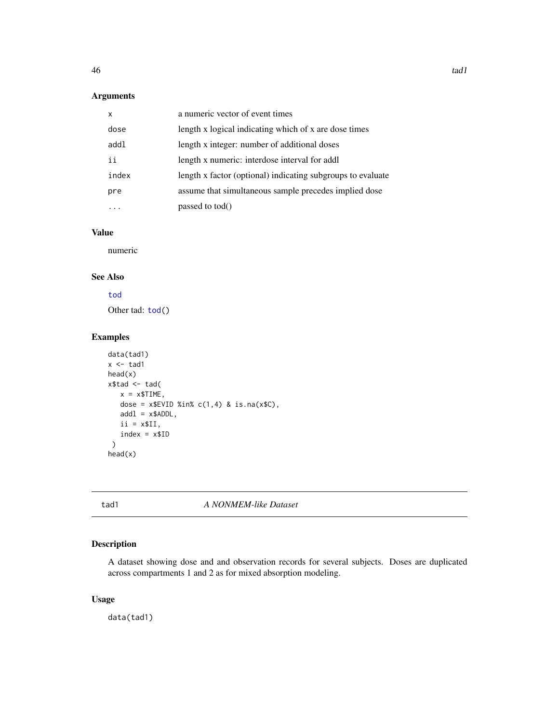# <span id="page-45-0"></span>Arguments

| x     | a numeric vector of event times                             |
|-------|-------------------------------------------------------------|
| dose  | length x logical indicating which of x are dose times       |
| addl  | length x integer: number of additional doses                |
| ii    | length x numeric: interdose interval for addl               |
| index | length x factor (optional) indicating subgroups to evaluate |
| pre   | assume that simultaneous sample precedes implied dose       |
|       | passed to tod()                                             |

# Value

numeric

# See Also

# [tod](#page-46-1)

Other tad: [tod\(](#page-46-1))

# Examples

```
data(tad1)
x < - tad1
head(x)
x$tad <- tad(
   x = x$TIME,dose = x$EVID %in% c(1,4) & is.na(x$C),
   add1 = x$ADDL,ii = x$II,
   index = x$ID)
head(x)
```
#### tad1 *A NONMEM-like Dataset*

# Description

A dataset showing dose and and observation records for several subjects. Doses are duplicated across compartments 1 and 2 as for mixed absorption modeling.

# Usage

data(tad1)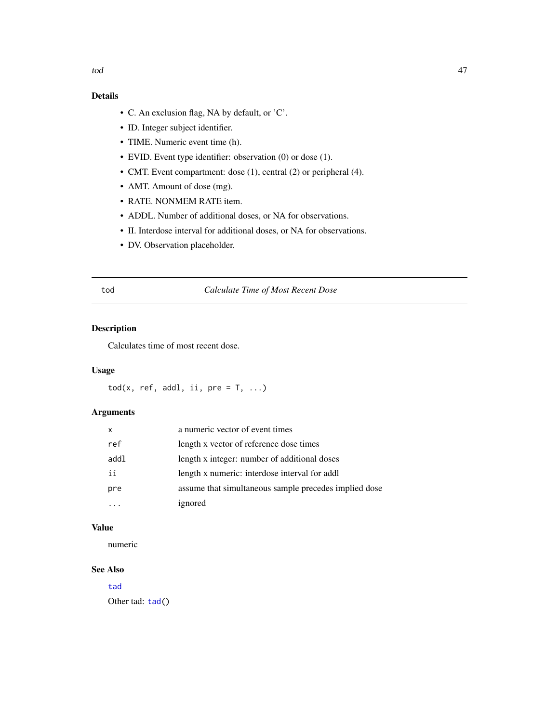# <span id="page-46-0"></span>Details

- C. An exclusion flag, NA by default, or 'C'.
- ID. Integer subject identifier.
- TIME. Numeric event time (h).
- EVID. Event type identifier: observation (0) or dose (1).
- CMT. Event compartment: dose (1), central (2) or peripheral (4).
- AMT. Amount of dose (mg).
- RATE. NONMEM RATE item.
- ADDL. Number of additional doses, or NA for observations.
- II. Interdose interval for additional doses, or NA for observations.
- DV. Observation placeholder.

# <span id="page-46-1"></span>tod *Calculate Time of Most Recent Dose*

# Description

Calculates time of most recent dose.

# Usage

 $\text{tod}(x, \text{ ref}, \text{addl}, \text{ ii}, \text{ pre = T}, \dots)$ 

# Arguments

| x    | a numeric vector of event times                       |
|------|-------------------------------------------------------|
| ref  | length x vector of reference dose times               |
| addl | length x integer: number of additional doses          |
| ii   | length x numeric: interdose interval for addl         |
| pre  | assume that simultaneous sample precedes implied dose |
|      | ignored                                               |

# Value

numeric

# See Also

[tad](#page-44-2) Other tad: [tad\(](#page-44-2))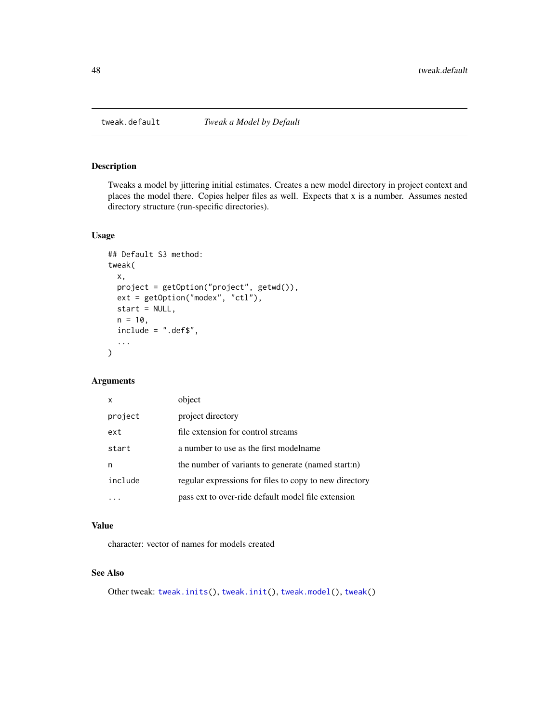<span id="page-47-1"></span><span id="page-47-0"></span>

# Description

Tweaks a model by jittering initial estimates. Creates a new model directory in project context and places the model there. Copies helper files as well. Expects that x is a number. Assumes nested directory structure (run-specific directories).

# Usage

```
## Default S3 method:
tweak(
 x,
 project = getOption("project", getwd()),
 ext = getOption("modex", "ctl"),
 start = NULL,
 n = 10,
  include = ".def$",
  ...
)
```
# Arguments

| X       | object                                                 |
|---------|--------------------------------------------------------|
| project | project directory                                      |
| ext     | file extension for control streams                     |
| start   | a number to use as the first modelname                 |
| n       | the number of variants to generate (named start:n)     |
| include | regular expressions for files to copy to new directory |
|         | pass ext to over-ride default model file extension     |

# Value

character: vector of names for models created

#### See Also

Other tweak: [tweak.inits\(](#page-0-0)), [tweak.init\(](#page-0-0)), [tweak.model\(](#page-48-1)), [tweak\(](#page-0-0))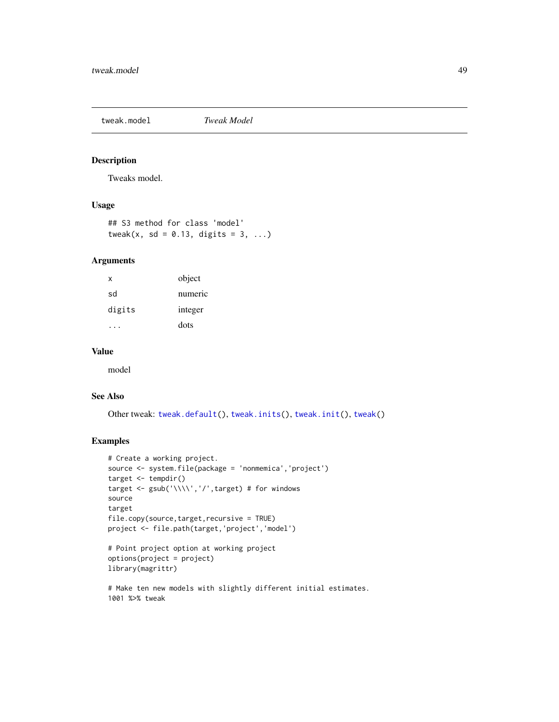# <span id="page-48-1"></span><span id="page-48-0"></span>tweak.model *Tweak Model*

# Description

Tweaks model.

# Usage

## S3 method for class 'model' tweak(x, sd =  $0.13$ , digits =  $3$ , ...)

# Arguments

| x      | object  |
|--------|---------|
| sd     | numeric |
| digits | integer |
|        | dots    |

# Value

model

# See Also

Other tweak: [tweak.default\(](#page-47-1)), [tweak.inits\(](#page-0-0)), [tweak.init\(](#page-0-0)), [tweak\(](#page-0-0))

# Examples

```
# Create a working project.
source <- system.file(package = 'nonmemica','project')
target <- tempdir()
target <- gsub('\\\\','/',target) # for windows
source
target
file.copy(source,target,recursive = TRUE)
project <- file.path(target,'project','model')
```

```
# Point project option at working project
options(project = project)
library(magrittr)
```

```
# Make ten new models with slightly different initial estimates.
1001 %>% tweak
```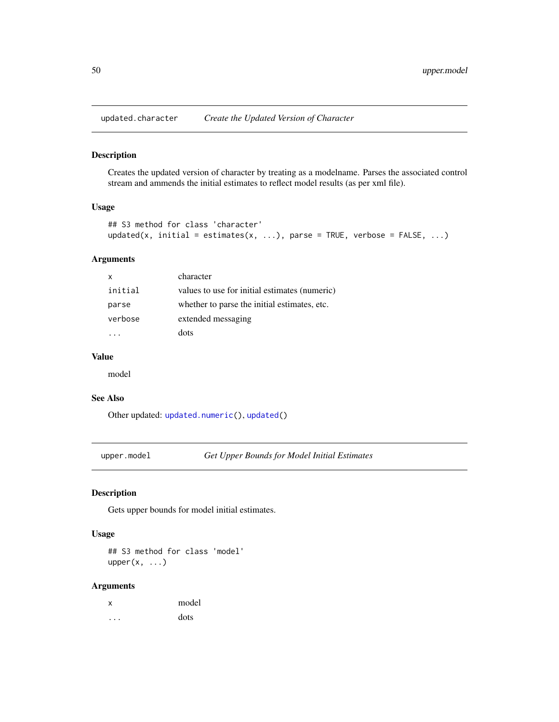<span id="page-49-0"></span>updated.character *Create the Updated Version of Character*

# Description

Creates the updated version of character by treating as a modelname. Parses the associated control stream and ammends the initial estimates to reflect model results (as per xml file).

#### Usage

```
## S3 method for class 'character'
updated(x, initial = estimates(x, ...), parse = TRUE, verbose = FALSE, ...)
```
# Arguments

| $\mathsf{x}$ | character                                     |
|--------------|-----------------------------------------------|
| initial      | values to use for initial estimates (numeric) |
| parse        | whether to parse the initial estimates, etc.  |
| verbose      | extended messaging                            |
|              | dots                                          |

# Value

model

# See Also

Other updated: [updated.numeric\(](#page-0-0)), [updated\(](#page-0-0))

<span id="page-49-1"></span>upper.model *Get Upper Bounds for Model Initial Estimates*

# Description

Gets upper bounds for model initial estimates.

#### Usage

## S3 method for class 'model'  $upper(x, \ldots)$ 

# Arguments

| x | model |
|---|-------|
|   | dots  |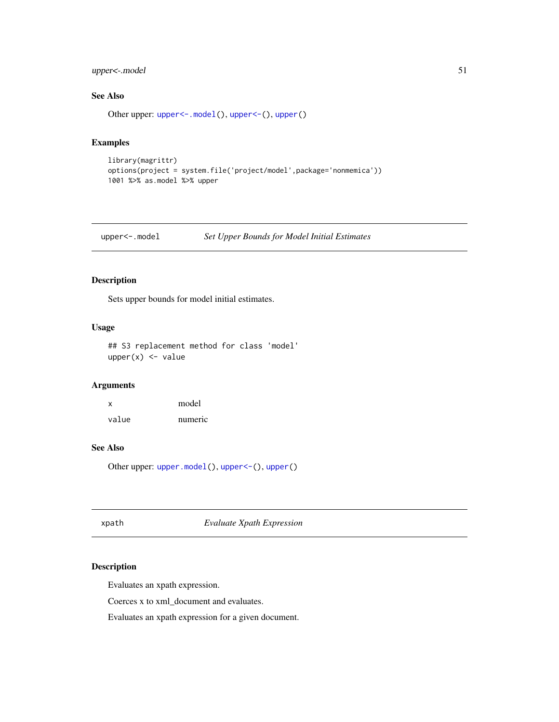# <span id="page-50-0"></span>upper<-.model 51

# See Also

Other upper: [upper<-.model\(](#page-50-2)), [upper<-\(](#page-0-0)), [upper\(](#page-0-0))

# Examples

```
library(magrittr)
options(project = system.file('project/model',package='nonmemica'))
1001 %>% as.model %>% upper
```
<span id="page-50-2"></span>upper<-.model *Set Upper Bounds for Model Initial Estimates*

# Description

Sets upper bounds for model initial estimates.

#### Usage

```
## S3 replacement method for class 'model'
upper(x) < - value
```
#### Arguments

x model value numeric

# See Also

Other upper: [upper.model\(](#page-49-1)), [upper<-\(](#page-0-0)), [upper\(](#page-0-0))

<span id="page-50-1"></span>xpath *Evaluate Xpath Expression*

# Description

Evaluates an xpath expression.

Coerces x to xml\_document and evaluates.

Evaluates an xpath expression for a given document.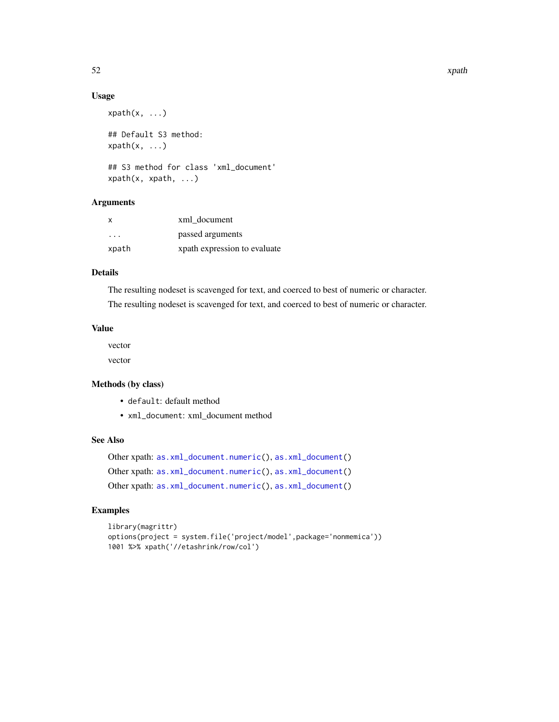# Usage

```
xpath(x, \ldots)## Default S3 method:
xpath(x, \ldots)## S3 method for class 'xml_document'
xpath(x, xpath, ...)
```
# Arguments

| X       | xml document                 |
|---------|------------------------------|
| $\cdot$ | passed arguments             |
| xpath   | xpath expression to evaluate |

# Details

The resulting nodeset is scavenged for text, and coerced to best of numeric or character. The resulting nodeset is scavenged for text, and coerced to best of numeric or character.

# Value

vector

vector

## Methods (by class)

- default: default method
- xml\_document: xml\_document method

# See Also

Other xpath: [as.xml\\_document.numeric\(](#page-0-0)), [as.xml\\_document\(](#page-3-3)) Other xpath: [as.xml\\_document.numeric\(](#page-0-0)), [as.xml\\_document\(](#page-3-3)) Other xpath: [as.xml\\_document.numeric\(](#page-0-0)), [as.xml\\_document\(](#page-3-3))

#### Examples

```
library(magrittr)
options(project = system.file('project/model',package='nonmemica'))
1001 %>% xpath('//etashrink/row/col')
```
<span id="page-51-0"></span>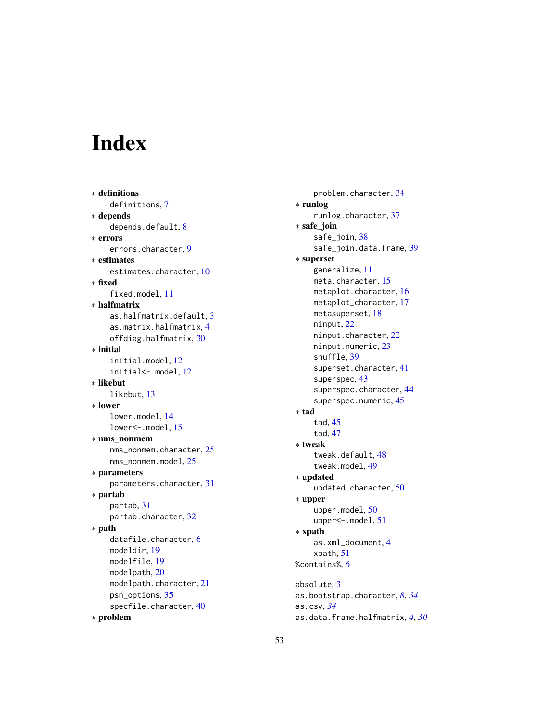# <span id="page-52-0"></span>Index

∗ definitions definitions , [7](#page-6-0) ∗ depends depends.default, [8](#page-7-0) ∗ errors errors.character , [9](#page-8-0) ∗ estimates estimates.character, [10](#page-9-0) ∗ fixed fixed.model , [11](#page-10-0) ∗ halfmatrix as.halfmatrix.default , [3](#page-2-0) as.matrix.halfmatrix , [4](#page-3-0) offdiag.halfmatrix , [30](#page-29-0) ∗ initial initial.model , [12](#page-11-0) initial <-. model, [12](#page-11-0) ∗ likebut likebut , [13](#page-12-0) ∗ lower lower.model , [14](#page-13-0) lower <-. model, [15](#page-14-0) ∗ nms\_nonmem nms\_nonmem.character , [25](#page-24-0) nms\_nonmem.model , [25](#page-24-0) ∗ parameters parameters.character , [31](#page-30-0) ∗ partab partab , [31](#page-30-0) partab.character , [32](#page-31-0) ∗ path datafile.character, [6](#page-5-0) modeldir , [19](#page-18-0) modelfile , [19](#page-18-0) modelpath , [20](#page-19-0) modelpath.character , [21](#page-20-0) psn\_options , [35](#page-34-0) specfile.character, [40](#page-39-0) ∗ problem

problem.character , [34](#page-33-0) ∗ runlog runlog.character , [37](#page-36-0) ∗ safe\_join safe\_join , [38](#page-37-0) safe\_join.data.frame, [39](#page-38-0) ∗ superset generalize , [11](#page-10-0) meta.character, [15](#page-14-0) metaplot.character, [16](#page-15-0) metaplot\_character , [17](#page-16-0) metasuperset, [18](#page-17-0) ninput , [22](#page-21-0) ninput.character , [22](#page-21-0) ninput.numeric, [23](#page-22-0) shuffle , [39](#page-38-0) superset.character, [41](#page-40-0) superspec, [43](#page-42-0) superspec.character, [44](#page-43-0) superspec.numeric, [45](#page-44-0) ∗ tad tad , [45](#page-44-0) tod , [47](#page-46-0) ∗ tweak tweak.default, [48](#page-47-0) tweak.model , [49](#page-48-0) ∗ updated updated.character , [50](#page-49-0) ∗ upper upper.model, [50](#page-49-0) upper<-.model, [51](#page-50-0) ∗ xpath as.xml\_document , [4](#page-3-0) xpath , [51](#page-50-0) %contains% , *[6](#page-5-0)* absolute , [3](#page-2-0) as.bootstrap.character , *[8](#page-7-0)* , *[34](#page-33-0)* as.csv , *[34](#page-33-0)*

as.data.frame.halfmatrix , *[4](#page-3-0)* , *[30](#page-29-0)*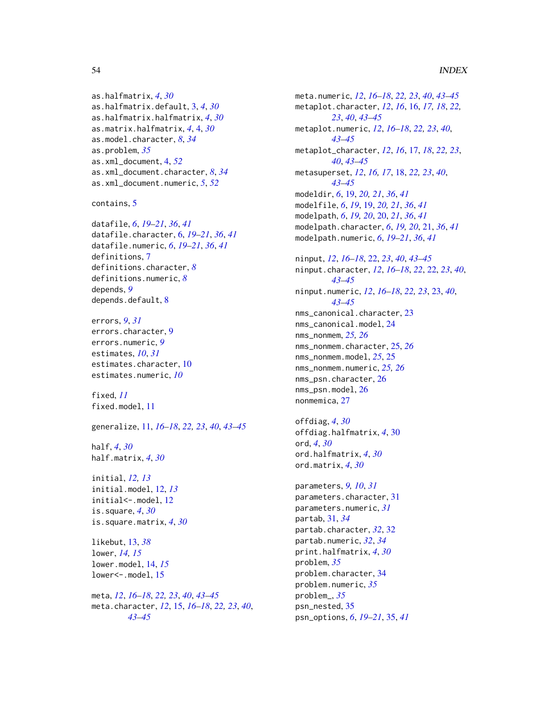#### 54 INDEX

as.halfmatrix, *[4](#page-3-0)*, *[30](#page-29-0)* as.halfmatrix.default, [3,](#page-2-0) *[4](#page-3-0)*, *[30](#page-29-0)* as.halfmatrix.halfmatrix, *[4](#page-3-0)*, *[30](#page-29-0)* as.matrix.halfmatrix, *[4](#page-3-0)*, [4,](#page-3-0) *[30](#page-29-0)* as.model.character, *[8](#page-7-0)*, *[34](#page-33-0)* as.problem, *[35](#page-34-0)* as.xml\_document, [4,](#page-3-0) *[52](#page-51-0)* as.xml\_document.character, *[8](#page-7-0)*, *[34](#page-33-0)* as.xml\_document.numeric, *[5](#page-4-0)*, *[52](#page-51-0)*

contains, [5](#page-4-0)

```
datafile, 6, 19–21, 36, 41
datafile.character, 6, 19–21, 36, 41
datafile.numeric, 6, 19–21, 36, 41
definitions, 7
definitions.character, 8
definitions.numeric, 8
depends, 9
depends.default, 8
```

```
errors, 9, 31
errors.character, 9
errors.numeric, 9
estimates, 10, 31
estimates.character, 10
estimates.numeric, 10
```
fixed, *[11](#page-10-0)* fixed.model, [11](#page-10-0)

generalize, [11,](#page-10-0) *[16](#page-15-0)[–18](#page-17-0)*, *[22,](#page-21-0) [23](#page-22-0)*, *[40](#page-39-0)*, *[43–](#page-42-0)[45](#page-44-0)*

half, *[4](#page-3-0)*, *[30](#page-29-0)* half.matrix, *[4](#page-3-0)*, *[30](#page-29-0)*

```
initial, 12, 13
initial.model, 12, 13
initial<-.model, 12
is.square, 4, 30
is.square.matrix, 4, 30
```

```
likebut, 13, 38
lower, 14, 15
lower.model, 14, 15
lower<-.model, 15
```
meta, *[12](#page-11-0)*, *[16](#page-15-0)[–18](#page-17-0)*, *[22,](#page-21-0) [23](#page-22-0)*, *[40](#page-39-0)*, *[43–](#page-42-0)[45](#page-44-0)* meta.character, *[12](#page-11-0)*, [15,](#page-14-0) *[16–](#page-15-0)[18](#page-17-0)*, *[22,](#page-21-0) [23](#page-22-0)*, *[40](#page-39-0)*, *[43](#page-42-0)[–45](#page-44-0)*

meta.numeric, *[12](#page-11-0)*, *[16](#page-15-0)[–18](#page-17-0)*, *[22,](#page-21-0) [23](#page-22-0)*, *[40](#page-39-0)*, *[43](#page-42-0)[–45](#page-44-0)* metaplot.character, *[12](#page-11-0)*, *[16](#page-15-0)*, [16,](#page-15-0) *[17,](#page-16-0) [18](#page-17-0)*, *[22,](#page-21-0) [23](#page-22-0)*, *[40](#page-39-0)*, *[43](#page-42-0)[–45](#page-44-0)* metaplot.numeric, *[12](#page-11-0)*, *[16](#page-15-0)[–18](#page-17-0)*, *[22,](#page-21-0) [23](#page-22-0)*, *[40](#page-39-0)*, *[43](#page-42-0)[–45](#page-44-0)* metaplot\_character, *[12](#page-11-0)*, *[16](#page-15-0)*, [17,](#page-16-0) *[18](#page-17-0)*, *[22,](#page-21-0) [23](#page-22-0)*, *[40](#page-39-0)*, *[43](#page-42-0)[–45](#page-44-0)* metasuperset, *[12](#page-11-0)*, *[16,](#page-15-0) [17](#page-16-0)*, [18,](#page-17-0) *[22,](#page-21-0) [23](#page-22-0)*, *[40](#page-39-0)*, *[43](#page-42-0)[–45](#page-44-0)* modeldir, *[6](#page-5-0)*, [19,](#page-18-0) *[20,](#page-19-0) [21](#page-20-0)*, *[36](#page-35-0)*, *[41](#page-40-0)* modelfile, *[6](#page-5-0)*, *[19](#page-18-0)*, [19,](#page-18-0) *[20,](#page-19-0) [21](#page-20-0)*, *[36](#page-35-0)*, *[41](#page-40-0)* modelpath, *[6](#page-5-0)*, *[19,](#page-18-0) [20](#page-19-0)*, [20,](#page-19-0) *[21](#page-20-0)*, *[36](#page-35-0)*, *[41](#page-40-0)* modelpath.character, *[6](#page-5-0)*, *[19,](#page-18-0) [20](#page-19-0)*, [21,](#page-20-0) *[36](#page-35-0)*, *[41](#page-40-0)* modelpath.numeric, *[6](#page-5-0)*, *[19](#page-18-0)[–21](#page-20-0)*, *[36](#page-35-0)*, *[41](#page-40-0)* ninput, *[12](#page-11-0)*, *[16](#page-15-0)[–18](#page-17-0)*, [22,](#page-21-0) *[23](#page-22-0)*, *[40](#page-39-0)*, *[43](#page-42-0)[–45](#page-44-0)* ninput.character, *[12](#page-11-0)*, *[16](#page-15-0)[–18](#page-17-0)*, *[22](#page-21-0)*, [22,](#page-21-0) *[23](#page-22-0)*, *[40](#page-39-0)*, *[43](#page-42-0)[–45](#page-44-0)* ninput.numeric, *[12](#page-11-0)*, *[16](#page-15-0)[–18](#page-17-0)*, *[22,](#page-21-0) [23](#page-22-0)*, [23,](#page-22-0) *[40](#page-39-0)*, *[43](#page-42-0)[–45](#page-44-0)* nms\_canonical.character. [23](#page-22-0) nms\_canonical.model, [24](#page-23-0) nms\_nonmem, *[25,](#page-24-0) [26](#page-25-0)* nms\_nonmem.character, [25,](#page-24-0) *[26](#page-25-0)* nms\_nonmem.model, *[25](#page-24-0)*, [25](#page-24-0) nms\_nonmem.numeric, *[25,](#page-24-0) [26](#page-25-0)* nms\_psn.character, [26](#page-25-0) nms\_psn.model, [26](#page-25-0) nonmemica, [27](#page-26-0) offdiag, *[4](#page-3-0)*, *[30](#page-29-0)* offdiag.halfmatrix, *[4](#page-3-0)*, [30](#page-29-0) ord, *[4](#page-3-0)*, *[30](#page-29-0)*

parameters, *[9,](#page-8-0) [10](#page-9-0)*, *[31](#page-30-0)* parameters.character, [31](#page-30-0) parameters.numeric, *[31](#page-30-0)* partab, [31,](#page-30-0) *[34](#page-33-0)* partab.character, *[32](#page-31-0)*, [32](#page-31-0) partab.numeric, *[32](#page-31-0)*, *[34](#page-33-0)* print.halfmatrix, *[4](#page-3-0)*, *[30](#page-29-0)* problem, *[35](#page-34-0)* problem.character, [34](#page-33-0) problem.numeric, *[35](#page-34-0)* problem\_, *[35](#page-34-0)* psn\_nested, [35](#page-34-0) psn\_options, *[6](#page-5-0)*, *[19](#page-18-0)[–21](#page-20-0)*, [35,](#page-34-0) *[41](#page-40-0)*

ord.halfmatrix, *[4](#page-3-0)*, *[30](#page-29-0)* ord.matrix, *[4](#page-3-0)*, *[30](#page-29-0)*